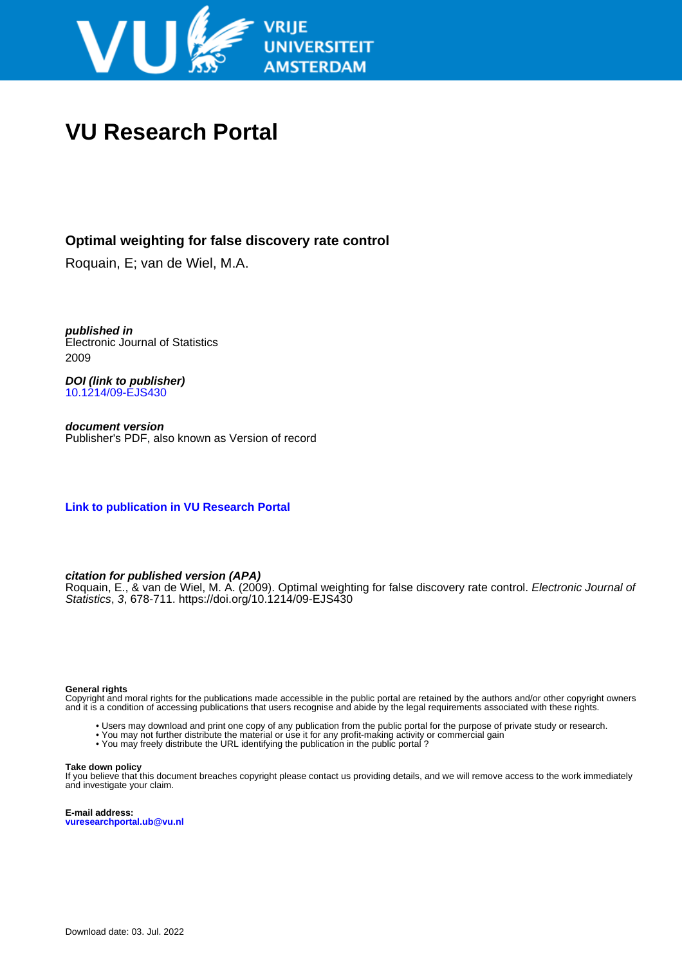

# **VU Research Portal**

### **Optimal weighting for false discovery rate control**

Roquain, E; van de Wiel, M.A.

**published in** Electronic Journal of Statistics 2009

**DOI (link to publisher)** [10.1214/09-EJS430](https://doi.org/10.1214/09-EJS430)

**document version** Publisher's PDF, also known as Version of record

**[Link to publication in VU Research Portal](https://research.vu.nl/en/publications/20eb8030-f563-4620-9a13-c248de02e41d)**

#### **citation for published version (APA)**

Roquain, E., & van de Wiel, M. A. (2009). Optimal weighting for false discovery rate control. Electronic Journal of Statistics, 3, 678-711. <https://doi.org/10.1214/09-EJS430>

#### **General rights**

Copyright and moral rights for the publications made accessible in the public portal are retained by the authors and/or other copyright owners and it is a condition of accessing publications that users recognise and abide by the legal requirements associated with these rights.

- Users may download and print one copy of any publication from the public portal for the purpose of private study or research.
- You may not further distribute the material or use it for any profit-making activity or commercial gain
- You may freely distribute the URL identifying the publication in the public portal ?

#### **Take down policy**

If you believe that this document breaches copyright please contact us providing details, and we will remove access to the work immediately and investigate your claim.

**E-mail address: vuresearchportal.ub@vu.nl**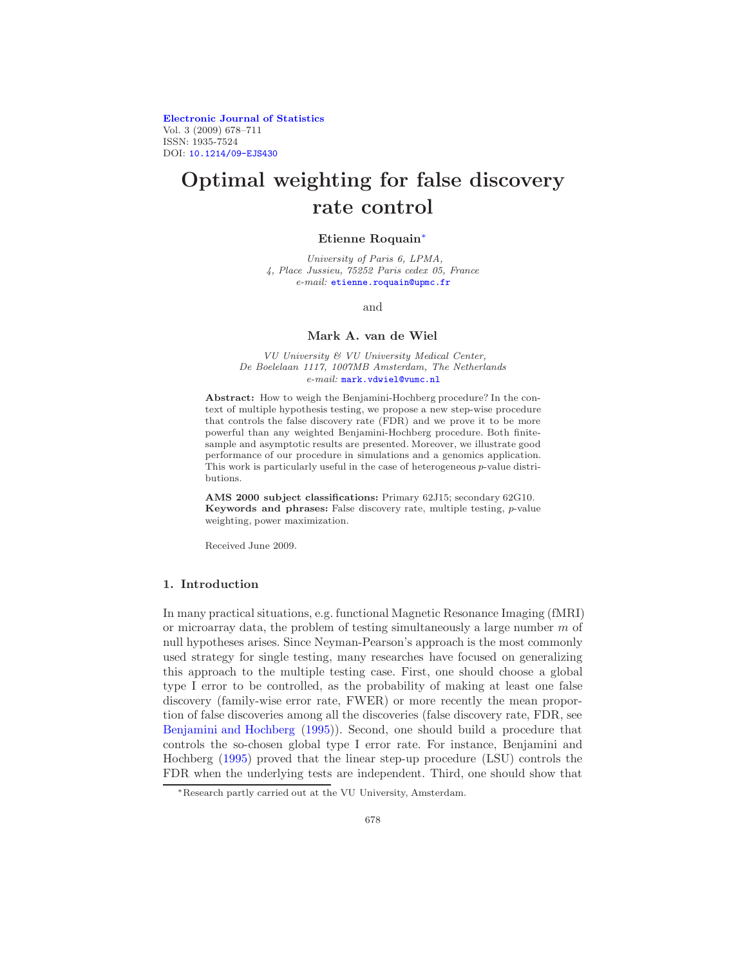[Electronic Journal of Statistics](http://www.i-journals.org/ejs) Vol. 3 (2009) 678–711 ISSN: 1935-7524 DOI: [10.1214/09-EJS430](http://dx.doi.org/10.1214/09-EJS430)

## Optimal weighting for false discovery rate control

#### Etienne Roquain[∗](#page-1-0)

University of Paris 6, LPMA, 4, Place Jussieu, 75252 Paris cedex 05, France e-mail: [etienne.roquain@upmc.fr](mailto:etienne.roquain@upmc.fr)

and

#### Mark A. van de Wiel

VU University & VU University Medical Center, De Boelelaan 1117, 1007MB Amsterdam, The Netherlands e-mail: [mark.vdwiel@vumc.nl](mailto:mark.vdwiel@vumc.nl)

Abstract: How to weigh the Benjamini-Hochberg procedure? In the context of multiple hypothesis testing, we propose a new step-wise procedure that controls the false discovery rate (FDR) and we prove it to be more powerful than any weighted Benjamini-Hochberg procedure. Both finitesample and asymptotic results are presented. Moreover, we illustrate good performance of our procedure in simulations and a genomics application. This work is particularly useful in the case of heterogeneous p-value distributions.

AMS 2000 subject classifications: Primary 62J15; secondary 62G10. Keywords and phrases: False discovery rate, multiple testing, p-value weighting, power maximization.

Received June 2009.

#### 1. Introduction

In many practical situations, e.g. functional Magnetic Resonance Imaging (fMRI) or microarray data, the problem of testing simultaneously a large number  $m$  of null hypotheses arises. Since Neyman-Pearson's approach is the most commonly used strategy for single testing, many researches have focused on generalizing this approach to the multiple testing case. First, one should choose a global type I error to be controlled, as the probability of making at least one false discovery (family-wise error rate, FWER) or more recently the mean proportion of false discoveries among all the discoveries (false discovery rate, FDR, see [Benjamini and Hochberg](#page-32-0) [\(1995\)](#page-32-0)). Second, one should build a procedure that controls the so-chosen global type I error rate. For instance, Benjamini and Hochberg [\(1995\)](#page-32-0) proved that the linear step-up procedure (LSU) controls the FDR when the underlying tests are independent. Third, one should show that

<span id="page-1-0"></span><sup>∗</sup>Research partly carried out at the VU University, Amsterdam.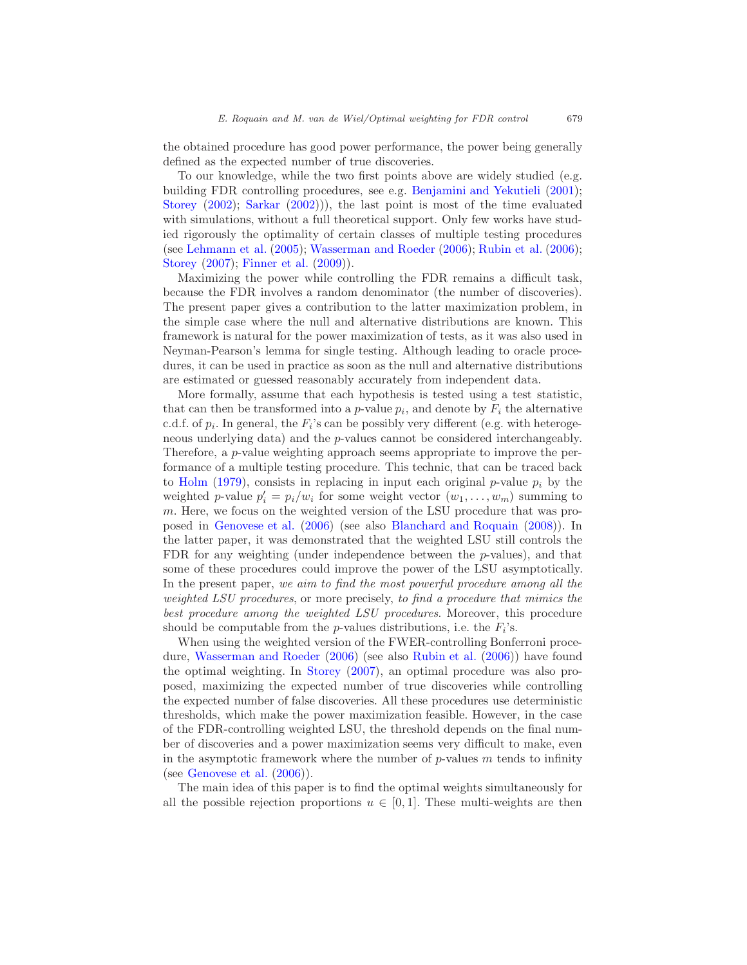the obtained procedure has good power performance, the power being generally defined as the expected number of true discoveries.

To our knowledge, while the two first points above are widely studied (e.g. building FDR controlling procedures, see e.g. [Benjamini and Yekutieli](#page-32-1) [\(2001\)](#page-32-1); [Storey](#page-34-0) [\(2002\)](#page-34-0); [Sarkar](#page-33-0) [\(2002](#page-33-0)))), the last point is most of the time evaluated with simulations, without a full theoretical support. Only few works have studied rigorously the optimality of certain classes of multiple testing procedures (see [Lehmann et al.](#page-33-1) [\(2005](#page-33-1)); [Wasserman and Roeder](#page-34-1) [\(2006\)](#page-34-1); [Rubin et al.](#page-33-2) [\(2006\)](#page-33-2); [Storey](#page-34-2) [\(2007\)](#page-34-2); [Finner et al.](#page-33-3) [\(2009](#page-33-3))).

Maximizing the power while controlling the FDR remains a difficult task, because the FDR involves a random denominator (the number of discoveries). The present paper gives a contribution to the latter maximization problem, in the simple case where the null and alternative distributions are known. This framework is natural for the power maximization of tests, as it was also used in Neyman-Pearson's lemma for single testing. Although leading to oracle procedures, it can be used in practice as soon as the null and alternative distributions are estimated or guessed reasonably accurately from independent data.

More formally, assume that each hypothesis is tested using a test statistic, that can then be transformed into a  $p$ -value  $p_i$ , and denote by  $F_i$  the alternative c.d.f. of  $p_i$ . In general, the  $F_i$ 's can be possibly very different (e.g. with heterogeneous underlying data) and the p-values cannot be considered interchangeably. Therefore, a p-value weighting approach seems appropriate to improve the performance of a multiple testing procedure. This technic, that can be traced back to [Holm](#page-33-4) [\(1979](#page-33-4)), consists in replacing in input each original  $p$ -value  $p_i$  by the weighted *p*-value  $p'_i = p_i/w_i$  for some weight vector  $(w_1, \ldots, w_m)$  summing to m. Here, we focus on the weighted version of the LSU procedure that was proposed in [Genovese et al.](#page-33-5) [\(2006](#page-33-5)) (see also [Blanchard and Roquain](#page-32-2) [\(2008](#page-32-2))). In the latter paper, it was demonstrated that the weighted LSU still controls the FDR for any weighting (under independence between the p-values), and that some of these procedures could improve the power of the LSU asymptotically. In the present paper, we aim to find the most powerful procedure among all the weighted LSU procedures, or more precisely, to find a procedure that mimics the best procedure among the weighted LSU procedures. Moreover, this procedure should be computable from the *p*-values distributions, i.e. the  $F_i$ 's.

When using the weighted version of the FWER-controlling Bonferroni procedure, [Wasserman and Roeder](#page-34-1) [\(2006](#page-34-1)) (see also [Rubin et al.](#page-33-2) [\(2006](#page-33-2))) have found the optimal weighting. In [Storey](#page-34-2) [\(2007\)](#page-34-2), an optimal procedure was also proposed, maximizing the expected number of true discoveries while controlling the expected number of false discoveries. All these procedures use deterministic thresholds, which make the power maximization feasible. However, in the case of the FDR-controlling weighted LSU, the threshold depends on the final number of discoveries and a power maximization seems very difficult to make, even in the asymptotic framework where the number of  $p$ -values m tends to infinity (see [Genovese et al.](#page-33-5)  $(2006)$ ).

The main idea of this paper is to find the optimal weights simultaneously for all the possible rejection proportions  $u \in [0,1]$ . These multi-weights are then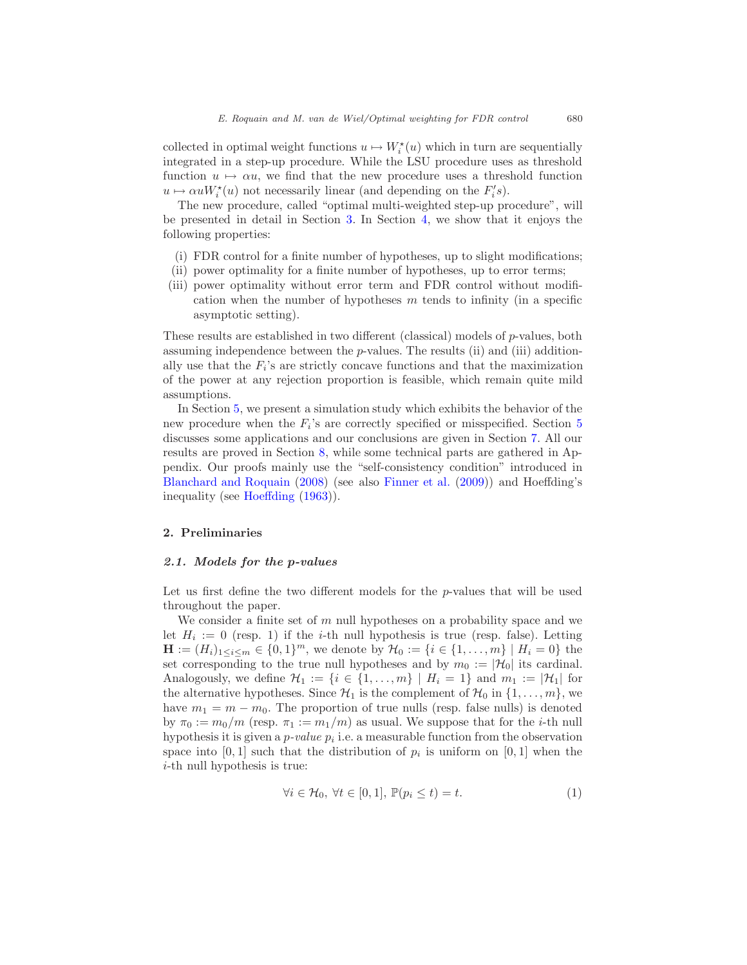collected in optimal weight functions  $u \mapsto W_i^*(u)$  which in turn are sequentially integrated in a step-up procedure. While the LSU procedure uses as threshold function  $u \mapsto \alpha u$ , we find that the new procedure uses a threshold function  $u \mapsto \alpha u W_i^*(u)$  not necessarily linear (and depending on the  $F_i's$ ).

The new procedure, called "optimal multi-weighted step-up procedure", will be presented in detail in Section [3.](#page-6-0) In Section [4,](#page-9-0) we show that it enjoys the following properties:

- (i) FDR control for a finite number of hypotheses, up to slight modifications;
- (ii) power optimality for a finite number of hypotheses, up to error terms;
- (iii) power optimality without error term and FDR control without modification when the number of hypotheses  $m$  tends to infinity (in a specific asymptotic setting).

These results are established in two different (classical) models of p-values, both assuming independence between the  $p$ -values. The results (ii) and (iii) additionally use that the  $F_i$ 's are strictly concave functions and that the maximization of the power at any rejection proportion is feasible, which remain quite mild assumptions.

In Section [5,](#page-14-0) we present a simulation study which exhibits the behavior of the new procedure when the  $F_i$ 's are correctly specified or misspecified. Section [5](#page-14-0) discusses some applications and our conclusions are given in Section [7.](#page-19-0) All our results are proved in Section [8,](#page-20-0) while some technical parts are gathered in Appendix. Our proofs mainly use the "self-consistency condition" introduced in [Blanchard and Roquain](#page-32-2) [\(2008\)](#page-32-2) (see also [Finner et al.](#page-33-3) [\(2009\)](#page-33-3)) and Hoeffding's inequality (see [Hoeffding](#page-33-6) [\(1963\)](#page-33-6)).

#### <span id="page-3-1"></span>2. Preliminaries

#### 2.1. Models for the p-values

Let us first define the two different models for the  $p$ -values that will be used throughout the paper.

We consider a finite set of  $m$  null hypotheses on a probability space and we let  $H_i := 0$  (resp. 1) if the *i*-th null hypothesis is true (resp. false). Letting  $\mathbf{H} := (H_i)_{1 \leq i \leq m} \in \{0, 1\}^m$ , we denote by  $\mathcal{H}_0 := \{i \in \{1, ..., m\} \mid H_i = 0\}$  the set corresponding to the true null hypotheses and by  $m_0 := |\mathcal{H}_0|$  its cardinal. Analogously, we define  $\mathcal{H}_1 := \{i \in \{1, ..., m\} \mid H_i = 1\}$  and  $m_1 := |\mathcal{H}_1|$  for the alternative hypotheses. Since  $\mathcal{H}_1$  is the complement of  $\mathcal{H}_0$  in  $\{1, \ldots, m\}$ , we have  $m_1 = m - m_0$ . The proportion of true nulls (resp. false nulls) is denoted by  $\pi_0 := m_0/m$  (resp.  $\pi_1 := m_1/m$ ) as usual. We suppose that for the *i*-th null hypothesis it is given a  $p-value$   $p_i$  i.e. a measurable function from the observation space into  $[0,1]$  such that the distribution of  $p_i$  is uniform on  $[0,1]$  when the i-th null hypothesis is true:

<span id="page-3-0"></span>
$$
\forall i \in \mathcal{H}_0, \ \forall t \in [0, 1], \ \mathbb{P}(p_i \le t) = t. \tag{1}
$$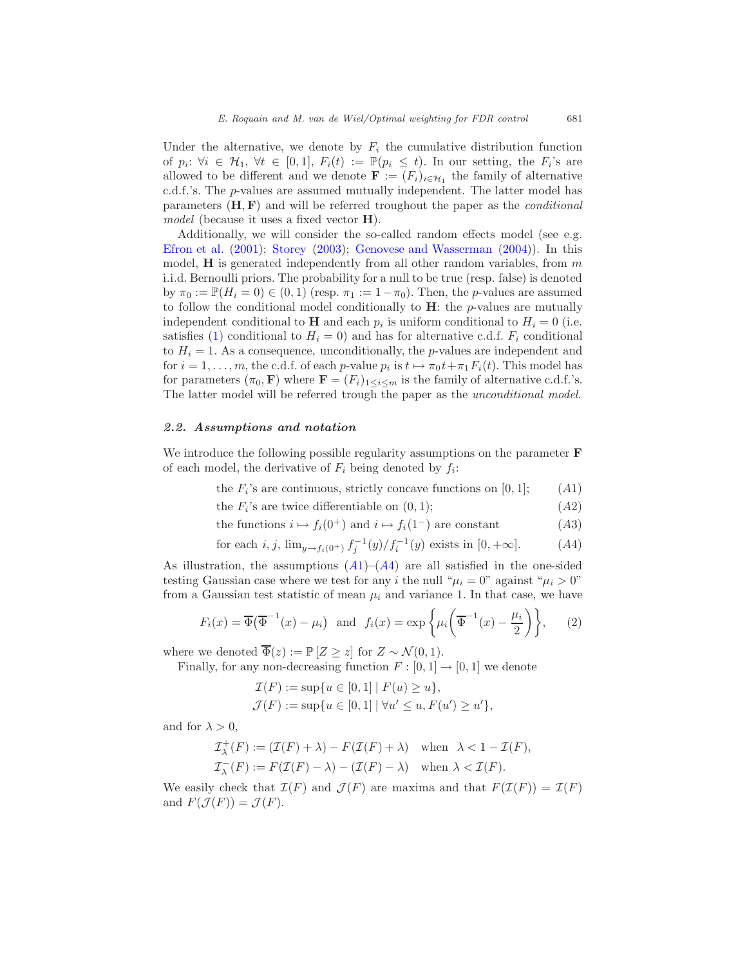Under the alternative, we denote by  $F_i$  the cumulative distribution function of  $p_i: \forall i \in \mathcal{H}_1, \forall t \in [0,1], F_i(t) := \mathbb{P}(p_i \leq t)$ . In our setting, the  $F_i$ 's are allowed to be different and we denote  $\mathbf{F} := (F_i)_{i \in \mathcal{H}_1}$  the family of alternative c.d.f.'s. The p-values are assumed mutually independent. The latter model has parameters  $(H, F)$  and will be referred troughout the paper as the *conditional* model (because it uses a fixed vector **H**).

Additionally, we will consider the so-called random effects model (see e.g. [Efron et al.](#page-32-3) [\(2001\)](#page-32-3); [Storey](#page-34-3) [\(2003\)](#page-34-3); [Genovese and Wasserman](#page-33-7) [\(2004](#page-33-7))). In this model,  $H$  is generated independently from all other random variables, from  $m$ i.i.d. Bernoulli priors. The probability for a null to be true (resp. false) is denoted by  $\pi_0 := \mathbb{P}(H_i = 0) \in (0, 1)$  (resp.  $\pi_1 := 1 - \pi_0$ ). Then, the *p*-values are assumed to follow the conditional model conditionally to  $H$ : the p-values are mutually independent conditional to **H** and each  $p_i$  is uniform conditional to  $H_i = 0$  (i.e. satisfies [\(1\)](#page-3-0) conditional to  $H_i = 0$ ) and has for alternative c.d.f.  $F_i$  conditional to  $H<sub>i</sub> = 1$ . As a consequence, unconditionally, the *p*-values are independent and for  $i = 1, \ldots, m$ , the c.d.f. of each p-value  $p_i$  is  $t \mapsto \pi_0 t + \pi_1 F_i(t)$ . This model has for parameters  $(\pi_0, \mathbf{F})$  where  $\mathbf{F} = (F_i)_{1 \leq i \leq m}$  is the family of alternative c.d.f.'s. The latter model will be referred trough the paper as the unconditional model.

#### <span id="page-4-2"></span>2.2. Assumptions and notation

We introduce the following possible regularity assumptions on the parameter  $\bf{F}$ of each model, the derivative of  $F_i$  being denoted by  $f_i$ :

<span id="page-4-3"></span><span id="page-4-0"></span>the  $F_i$ 's are continuous, strictly concave functions on [0, 1]; (A1)

<span id="page-4-4"></span>the  $F_i$ 's are twice differentiable on  $(0, 1)$ ;  $(A2)$ 

the functions  $i \mapsto f_i(0^+)$  and  $i \mapsto f_i(1^-)$  are constant (A3)

<span id="page-4-1"></span>for each 
$$
i, j, \lim_{y \to f_i(0^+)} f_j^{-1}(y) / f_i^{-1}(y)
$$
 exists in  $[0, +\infty]$ . (A4)

[A](#page-4-1)s illustration, the assumptions  $(A1)$ – $(A4)$  are all satisfied in the one-sided testing Gaussian case where we test for any i the null " $\mu_i = 0$ " against " $\mu_i > 0$ " from a Gaussian test statistic of mean  $\mu_i$  and variance 1. In that case, we have

$$
F_i(x) = \overline{\Phi}\left(\overline{\Phi}^{-1}(x) - \mu_i\right) \text{ and } f_i(x) = \exp\left\{\mu_i\left(\overline{\Phi}^{-1}(x) - \frac{\mu_i}{2}\right)\right\},\qquad(2)
$$

where we denoted  $\overline{\Phi}(z) := \mathbb{P}[Z > z]$  for  $Z \sim \mathcal{N}(0, 1)$ .

Finally, for any non-decreasing function  $F : [0, 1] \rightarrow [0, 1]$  we denote

<span id="page-4-5"></span>
$$
\mathcal{I}(F) := \sup \{ u \in [0, 1] \mid F(u) \ge u \},\
$$
  

$$
\mathcal{J}(F) := \sup \{ u \in [0, 1] \mid \forall u' \le u, F(u') \ge u' \},\
$$

and for  $\lambda > 0$ ,

$$
\mathcal{I}_{\lambda}^{+}(F) := (\mathcal{I}(F) + \lambda) - F(\mathcal{I}(F) + \lambda) \quad \text{when } \lambda < 1 - \mathcal{I}(F),
$$
  

$$
\mathcal{I}_{\lambda}^{-}(F) := F(\mathcal{I}(F) - \lambda) - (\mathcal{I}(F) - \lambda) \quad \text{when } \lambda < \mathcal{I}(F).
$$

We easily check that  $\mathcal{I}(F)$  and  $\mathcal{J}(F)$  are maxima and that  $F(\mathcal{I}(F)) = \mathcal{I}(F)$ and  $F(\mathcal{J}(F)) = \mathcal{J}(F)$ .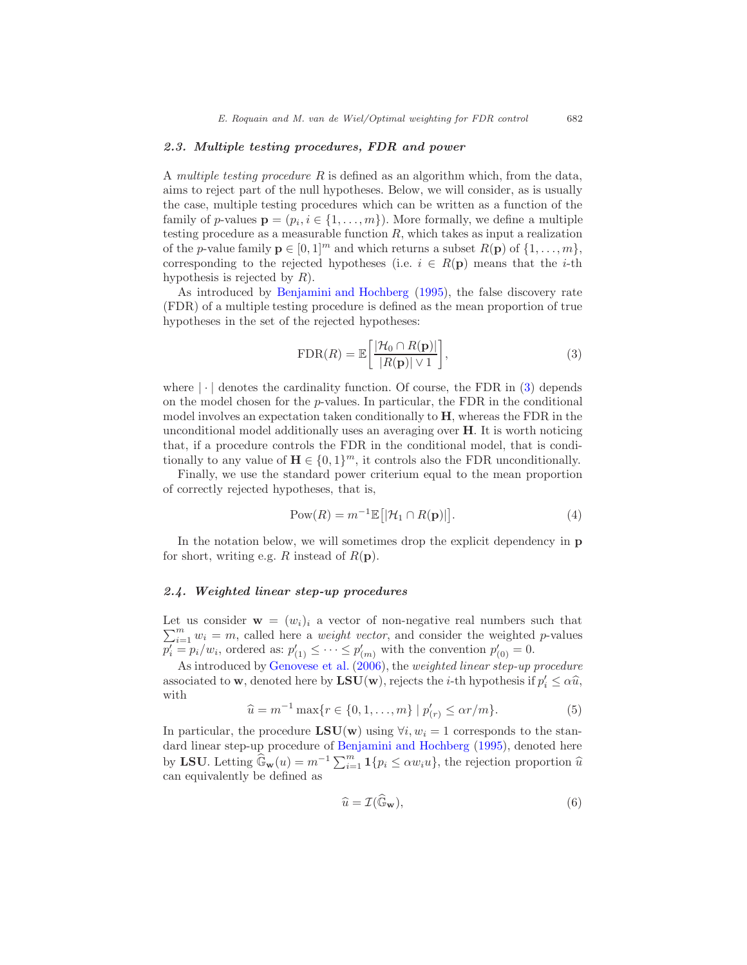#### 2.3. Multiple testing procedures, FDR and power

A multiple testing procedure  $R$  is defined as an algorithm which, from the data, aims to reject part of the null hypotheses. Below, we will consider, as is usually the case, multiple testing procedures which can be written as a function of the family of p-values  $\mathbf{p} = (p_i, i \in \{1, ..., m\})$ . More formally, we define a multiple testing procedure as a measurable function  $R$ , which takes as input a realization of the *p*-value family  $\mathbf{p} \in [0, 1]^m$  and which returns a subset  $R(\mathbf{p})$  of  $\{1, \ldots, m\}$ , corresponding to the rejected hypotheses (i.e.  $i \in R(\mathbf{p})$  means that the *i*-th hypothesis is rejected by  $R$ ).

As introduced by [Benjamini and Hochberg](#page-32-0) [\(1995\)](#page-32-0), the false discovery rate (FDR) of a multiple testing procedure is defined as the mean proportion of true hypotheses in the set of the rejected hypotheses:

<span id="page-5-0"></span>
$$
\text{FDR}(R) = \mathbb{E}\left[\frac{|\mathcal{H}_0 \cap R(\mathbf{p})|}{|R(\mathbf{p})| \vee 1}\right],\tag{3}
$$

where  $|\cdot|$  denotes the cardinality function. Of course, the FDR in [\(3\)](#page-5-0) depends on the model chosen for the  $p$ -values. In particular, the FDR in the conditional model involves an expectation taken conditionally to H, whereas the FDR in the unconditional model additionally uses an averaging over  $H$ . It is worth noticing that, if a procedure controls the FDR in the conditional model, that is conditionally to any value of  $\mathbf{H} \in \{0, 1\}^m$ , it controls also the FDR unconditionally.

Finally, we use the standard power criterium equal to the mean proportion of correctly rejected hypotheses, that is,

$$
Pow(R) = m^{-1} \mathbb{E}\big[|\mathcal{H}_1 \cap R(\mathbf{p})|\big].\tag{4}
$$

In the notation below, we will sometimes drop the explicit dependency in p for short, writing e.g. R instead of  $R(\mathbf{p})$ .

#### 2.4. Weighted linear step-up procedures

 $\sum_{i=1}^{m} w_i = m$ , called here a *weight vector*, and consider the weighted p-values Let us consider  $\mathbf{w} = (w_i)_i$  a vector of non-negative real numbers such that  $p'_i = p_i/w_i$ , ordered as:  $p'_{(1)} \leq \cdots \leq p'_{(m)}$  with the convention  $p'_{(0)} = 0$ .

<span id="page-5-1"></span>As introduced by [Genovese et al.](#page-33-5) [\(2006\)](#page-33-5), the weighted linear step-up procedure associated to **w**, denoted here by  $LSU(w)$ , rejects the *i*-th hypothesis if  $p'_i \leq \alpha \hat{u}$ , with

<span id="page-5-2"></span>
$$
\hat{u} = m^{-1} \max\{r \in \{0, 1, \dots, m\} \mid p'_{(r)} \le \alpha r/m\}.
$$
 (5)

In particular, the procedure  $LSU(w)$  using  $\forall i, w_i = 1$  corresponds to the standard linear step-up procedure of [Benjamini and Hochberg](#page-32-0) [\(1995](#page-32-0)), denoted here by LSU. Letting  $\widehat{\mathbb{G}}_{\mathbf{w}}(u) = m^{-1} \sum_{i=1}^{m} \mathbf{1} \{p_i \le \alpha w_i u\}$ , the rejection proportion  $\widehat{u}$ can equivalently be defined as

$$
\widehat{u} = \mathcal{I}(\widehat{\mathbb{G}}_{\mathbf{w}}),\tag{6}
$$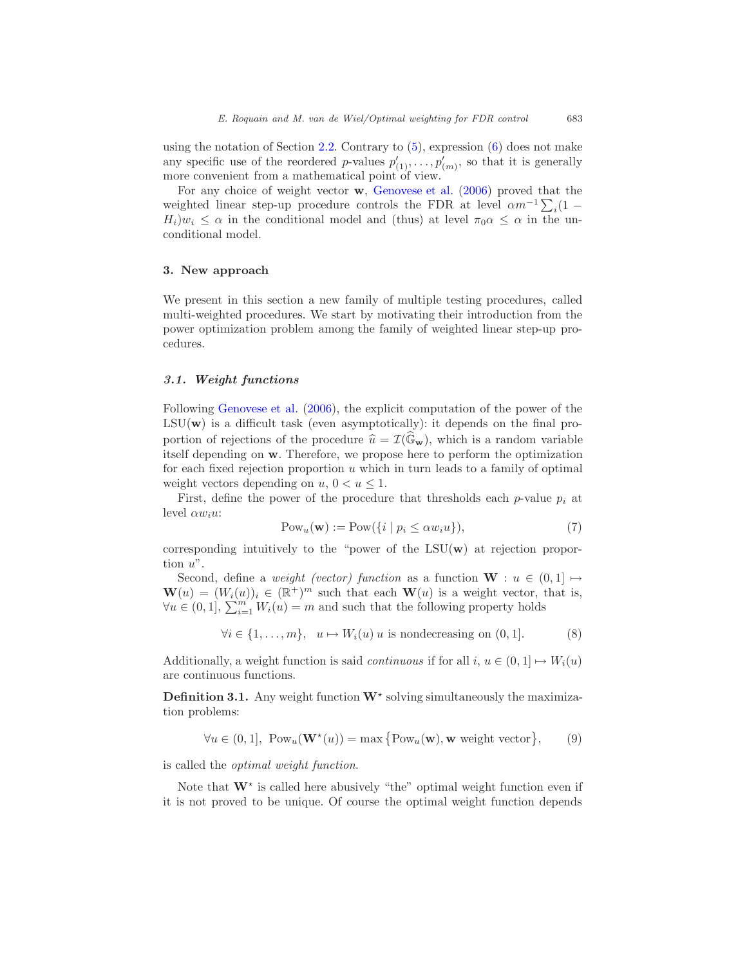using the notation of Section [2.2.](#page-4-2) Contrary to  $(5)$ , expression  $(6)$  does not make any specific use of the reordered p-values  $p'_{(1)}, \ldots, p'_{(m)}$ , so that it is generally more convenient from a mathematical point of view.

For any choice of weight vector w, [Genovese et al.](#page-33-5) [\(2006\)](#page-33-5) proved that the weighted linear step-up procedure controls the FDR at level  $\alpha m^{-1} \sum_i (1 H_i)w_i \leq \alpha$  in the conditional model and (thus) at level  $\pi_0 \alpha \leq \alpha$  in the unconditional model.

#### <span id="page-6-0"></span>3. New approach

We present in this section a new family of multiple testing procedures, called multi-weighted procedures. We start by motivating their introduction from the power optimization problem among the family of weighted linear step-up procedures.

#### 3.1. Weight functions

Following [Genovese et al.](#page-33-5) [\(2006\)](#page-33-5), the explicit computation of the power of the  $LSU(\mathbf{w})$  is a difficult task (even asymptotically): it depends on the final proportion of rejections of the procedure  $\hat{u} = \mathcal{I}(\mathbb{G}_{\mathbf{w}})$ , which is a random variable itself depending on w. Therefore, we propose here to perform the optimization for each fixed rejection proportion  $u$  which in turn leads to a family of optimal weight vectors depending on  $u, 0 < u \leq 1$ .

First, define the power of the procedure that thresholds each p-value  $p_i$  at level  $\alpha w_i u$ :

<span id="page-6-2"></span>
$$
Pow_u(\mathbf{w}) := Pow(\{i \mid p_i \le \alpha w_i u\}),\tag{7}
$$

corresponding intuitively to the "power of the  $LSU(\mathbf{w})$  at rejection proportion u".

Second, define a *weight (vector)* function as a function  $W : u \in (0,1] \mapsto$  $\mathbf{W}(u) = (W_i(u))_i \in (\mathbb{R}^+)^m$  such that each  $\mathbf{W}(u)$  is a weight vector, that is,  $\forall u \in (0,1], \sum_{i=1}^{m} W_i(u) = m$  and such that the following property holds

$$
\forall i \in \{1, \ldots, m\}, \ \ u \mapsto W_i(u) \ u \text{ is nondecreasing on } (0, 1]. \tag{8}
$$

Additionally, a weight function is said *continuous* if for all  $i, u \in (0, 1] \mapsto W_i(u)$ are continuous functions.

<span id="page-6-1"></span>**Definition 3.1.** Any weight function  $W^*$  solving simultaneously the maximization problems:

$$
\forall u \in (0,1], \text{ Pow}_u(\mathbf{W}^\star(u)) = \max\big\{\text{Pow}_u(\mathbf{w}), \mathbf{w} \text{ weight vector}\big\},\qquad(9)
$$

is called the optimal weight function.

Note that  $W^*$  is called here abusively "the" optimal weight function even if it is not proved to be unique. Of course the optimal weight function depends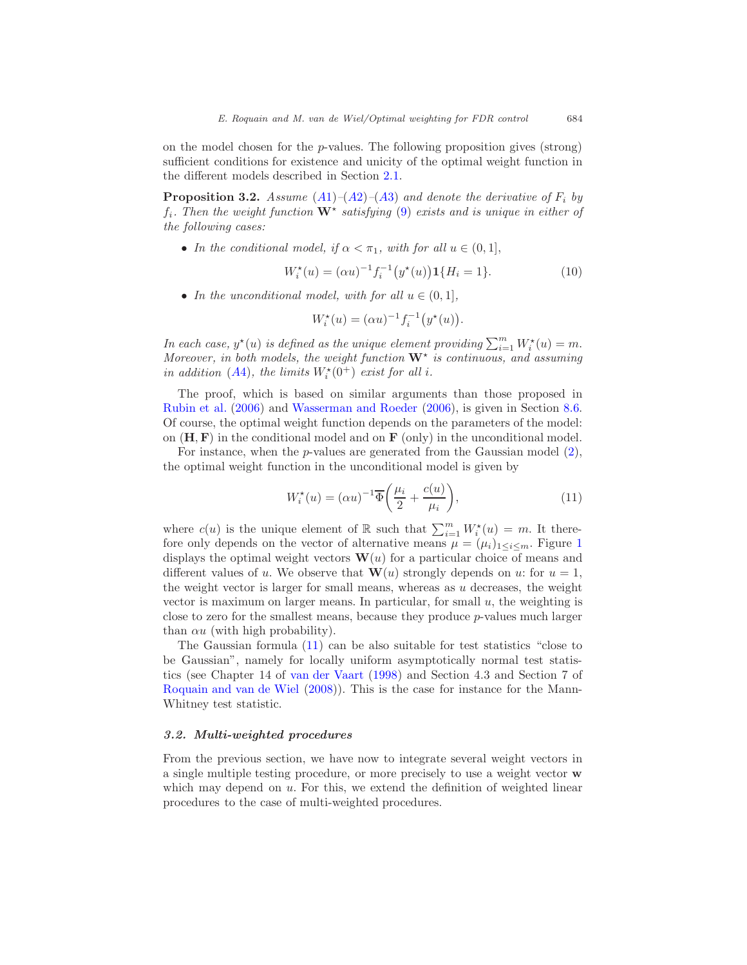on the model chosen for the  $p$ -values. The following proposition gives (strong) sufficient conditions for existence and unicity of the optimal weight function in the different models described in Section [2.1.](#page-3-1)

<span id="page-7-1"></span>**Proposition 3.2.** [A](#page-4-4)ssume  $(A1)$ – $(A2)$ – $(A3)$  and denote the derivative of  $F_i$  by  $f_i$ . Then the weight function  $\mathbf{W}^*$  satisfying [\(9\)](#page-6-1) exists and is unique in either of the following cases:

• In the conditional model, if  $\alpha < \pi_1$ , with for all  $u \in (0,1]$ ,

$$
W_i^*(u) = (\alpha u)^{-1} f_i^{-1} (y^*(u)) \mathbf{1} \{ H_i = 1 \}.
$$
 (10)

• In the unconditional model, with for all  $u \in (0,1]$ ,

$$
W_i^{\star}(u) = (\alpha u)^{-1} f_i^{-1} (y^{\star}(u)).
$$

In each case,  $y^*(u)$  is defined as the unique element providing  $\sum_{i=1}^m W_i^*(u) = m$ . Moreover, in both models, the weight function  $W^*$  is continuous, and assuming in addition ([A](#page-4-1)4), the limits  $W_i^*(0^+)$  exist for all i.

The proof, which is based on similar arguments than those proposed in [Rubin et al.](#page-33-2) [\(2006](#page-33-2)) and [Wasserman and Roeder](#page-34-1) [\(2006\)](#page-34-1), is given in Section [8.6.](#page-29-0) Of course, the optimal weight function depends on the parameters of the model: on  $(H, F)$  in the conditional model and on  $F$  (only) in the unconditional model.

For instance, when the p-values are generated from the Gaussian model [\(2\)](#page-4-5), the optimal weight function in the unconditional model is given by

<span id="page-7-0"></span>
$$
W_i^{\star}(u) = (\alpha u)^{-1} \overline{\Phi}\bigg(\frac{\mu_i}{2} + \frac{c(u)}{\mu_i}\bigg),\tag{11}
$$

where  $c(u)$  is the unique element of  $\mathbb R$  such that  $\sum_{i=1}^m W_i^{\star}(u) = m$ . It therefore only depends on the vector of alternative means  $\mu = (\mu_i)_{1 \leq i \leq m}$  $\mu = (\mu_i)_{1 \leq i \leq m}$  $\mu = (\mu_i)_{1 \leq i \leq m}$ . Figure 1 displays the optimal weight vectors  $\mathbf{W}(u)$  for a particular choice of means and different values of u. We observe that  $\mathbf{W}(u)$  strongly depends on u: for  $u = 1$ , the weight vector is larger for small means, whereas as  $u$  decreases, the weight vector is maximum on larger means. In particular, for small  $u$ , the weighting is close to zero for the smallest means, because they produce p-values much larger than  $\alpha u$  (with high probability).

The Gaussian formula [\(11\)](#page-7-0) can be also suitable for test statistics "close to be Gaussian", namely for locally uniform asymptotically normal test statistics (see Chapter 14 of [van der Vaart](#page-34-4) [\(1998\)](#page-34-4) and Section 4.3 and Section 7 of [Roquain and van de Wiel](#page-33-8) [\(2008\)](#page-33-8)). This is the case for instance for the Mann-Whitney test statistic.

#### 3.2. Multi-weighted procedures

From the previous section, we have now to integrate several weight vectors in a single multiple testing procedure, or more precisely to use a weight vector w which may depend on  $u$ . For this, we extend the definition of weighted linear procedures to the case of multi-weighted procedures.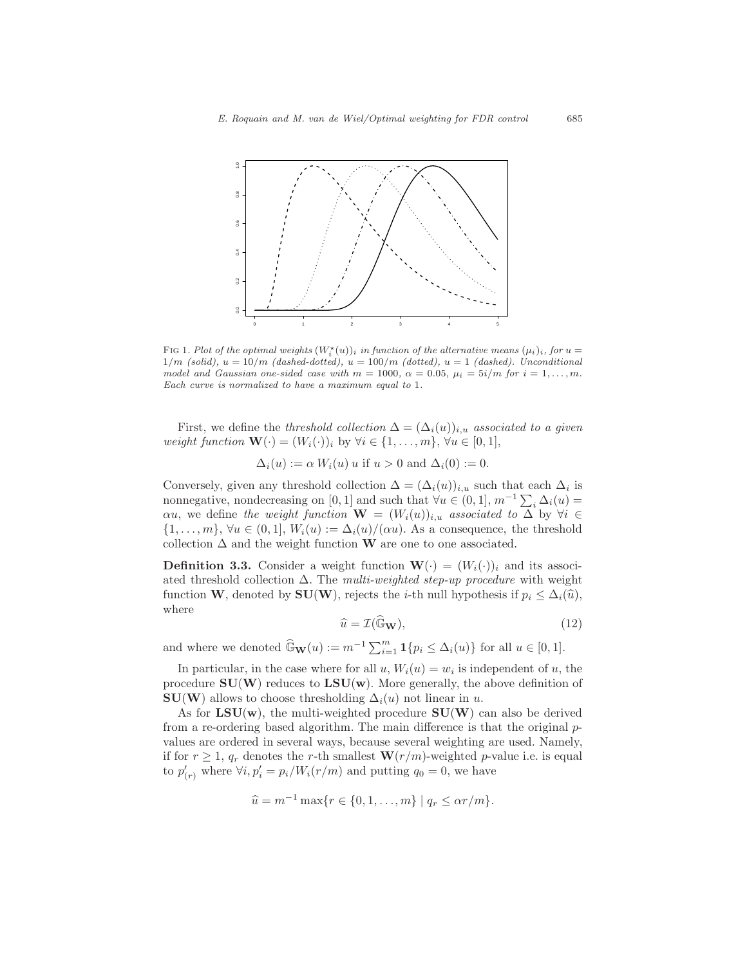

<span id="page-8-0"></span>FIG 1. Plot of the optimal weights  $(W_i^*(u))_i$  in function of the alternative means  $(\mu_i)_i$ , for  $u =$  $1/m$  (solid),  $u = 10/m$  (dashed-dotted),  $u = 100/m$  (dotted),  $u = 1$  (dashed). Unconditional model and Gaussian one-sided case with  $m = 1000$ ,  $\alpha = 0.05$ ,  $\mu_i = 5i/m$  for  $i = 1, \ldots, m$ . Each curve is normalized to have a maximum equal to 1.

First, we define the threshold collection  $\Delta = (\Delta_i(u))_{i,u}$  associated to a given weight function  $\mathbf{W}(\cdot) = (W_i(\cdot))_i$  by  $\forall i \in \{1, \ldots, m\}, \forall u \in [0, 1],$ 

 $\Delta_i(u) := \alpha W_i(u)$  u if  $u > 0$  and  $\Delta_i(0) := 0$ .

Conversely, given any threshold collection  $\Delta = (\Delta_i(u))_{i,u}$  such that each  $\Delta_i$  is nonnegative, nondecreasing on [0, 1] and such that  $\forall u \in (0,1], m^{-1} \sum_i \Delta_i(u) =$  $\alpha u$ , we define the weight function  $\mathbf{W} = (W_i(u))_{i,u}$  associated to  $\Delta$  by  $\forall i \in$  $\{1,\ldots,m\},\,\forall u\in(0,1],\,W_i(u):=\Delta_i(u)/(\alpha u).$  As a consequence, the threshold collection  $\Delta$  and the weight function W are one to one associated.

**Definition 3.3.** Consider a weight function  $\mathbf{W}(\cdot) = (W_i(\cdot))_i$  and its associated threshold collection  $\Delta$ . The multi-weighted step-up procedure with weight function W, denoted by SU(W), rejects the *i*-th null hypothesis if  $p_i \leq \Delta_i(\hat{u})$ , where

$$
\widehat{u} = \mathcal{I}(\widehat{\mathbb{G}}_{\mathbf{W}}),\tag{12}
$$

and where we denoted  $\widehat{\mathbb{G}}_{\mathbf{W}}(u) := m^{-1} \sum_{i=1}^{m} \mathbf{1}\{p_i \leq \Delta_i(u)\}\)$  for all  $u \in [0, 1]$ .

In particular, in the case where for all  $u, W_i(u) = w_i$  is independent of  $u$ , the procedure  $SU(W)$  reduces to  $LSU(w)$ . More generally, the above definition of  $SU(W)$  allows to choose thresholding  $\Delta_i(u)$  not linear in u.

As for  $LSU(w)$ , the multi-weighted procedure  $SU(W)$  can also be derived from a re-ordering based algorithm. The main difference is that the original  $p$ values are ordered in several ways, because several weighting are used. Namely, if for  $r \geq 1$ ,  $q_r$  denotes the r-th smallest  $\mathbf{W}(r/m)$ -weighted p-value i.e. is equal to  $p'_{(r)}$  where  $\forall i, p'_{i} = p_{i}/W_{i}(r/m)$  and putting  $q_{0} = 0$ , we have

$$
\hat{u} = m^{-1} \max\{r \in \{0, 1, ..., m\} \mid q_r \leq \alpha r/m\}.
$$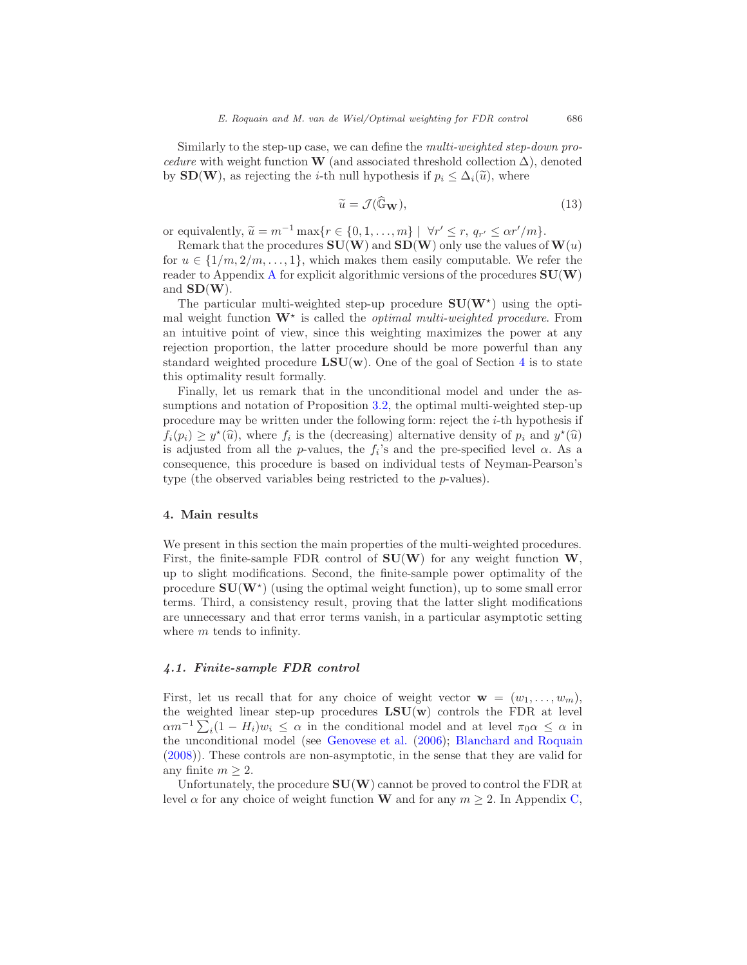Similarly to the step-up case, we can define the multi-weighted step-down procedure with weight function W (and associated threshold collection  $\Delta$ ), denoted by  $SD(W)$ , as rejecting the *i*-th null hypothesis if  $p_i \leq \Delta_i(\tilde{u})$ , where

$$
\widetilde{u} = \mathcal{J}(\widehat{\mathbb{G}}_{\mathbf{W}}),\tag{13}
$$

or equivalently,  $\widetilde{u} = m^{-1} \max\{r \in \{0, 1, ..., m\} \mid \forall r' \le r, q_{r'} \le \alpha r'/m\}.$ 

Remark that the procedures  $SU(W)$  and  $SD(W)$  only use the values of  $W(u)$ for  $u \in \{1/m, 2/m, \ldots, 1\}$ , which makes them easily computable. We refer the reader to [A](#page-30-0)ppendix A for explicit algorithmic versions of the procedures  $SU(W)$ and  $SD(W)$ .

The particular multi-weighted step-up procedure  $SU(W^*)$  using the optimal weight function  $\mathbf{W}^*$  is called the *optimal multi-weighted procedure*. From an intuitive point of view, since this weighting maximizes the power at any rejection proportion, the latter procedure should be more powerful than any standard weighted procedure  $LSU(w)$ . One of the goal of Section [4](#page-9-0) is to state this optimality result formally.

Finally, let us remark that in the unconditional model and under the assumptions and notation of Proposition [3.2,](#page-7-1) the optimal multi-weighted step-up procedure may be written under the following form: reject the  $i$ -th hypothesis if  $f_i(p_i) \geq y^*(\widehat{u})$ , where  $f_i$  is the (decreasing) alternative density of  $p_i$  and  $y^*(\widehat{u})$ is adjusted from all the p-values, the  $f_i$ 's and the pre-specified level  $\alpha$ . As a consequence, this procedure is based on individual tests of Neyman-Pearson's type (the observed variables being restricted to the p-values).

#### <span id="page-9-0"></span>4. Main results

We present in this section the main properties of the multi-weighted procedures. First, the finite-sample FDR control of  $SU(W)$  for any weight function W, up to slight modifications. Second, the finite-sample power optimality of the procedure  $SU(W^{\star})$  (using the optimal weight function), up to some small error terms. Third, a consistency result, proving that the latter slight modifications are unnecessary and that error terms vanish, in a particular asymptotic setting where  $m$  tends to infinity.

#### <span id="page-9-1"></span>4.1. Finite-sample FDR control

First, let us recall that for any choice of weight vector  $\mathbf{w} = (w_1, \ldots, w_m)$ , the weighted linear step-up procedures  $LSU(w)$  controls the FDR at level  $\alpha m^{-1} \sum_i (1 - H_i) w_i \leq \alpha$  in the conditional model and at level  $\pi_0 \alpha \leq \alpha$  in the unconditional model (see [Genovese et al.](#page-33-5) [\(2006\)](#page-33-5); [Blanchard and Roquain](#page-32-2) [\(2008\)](#page-32-2)). These controls are non-asymptotic, in the sense that they are valid for any finite  $m \geq 2$ .

Unfortunately, the procedure  $SU(W)$  cannot be proved to control the FDR at level  $\alpha$  for any choice of weight function **W** and for any  $m \geq 2$ . In Appendix [C,](#page-31-0)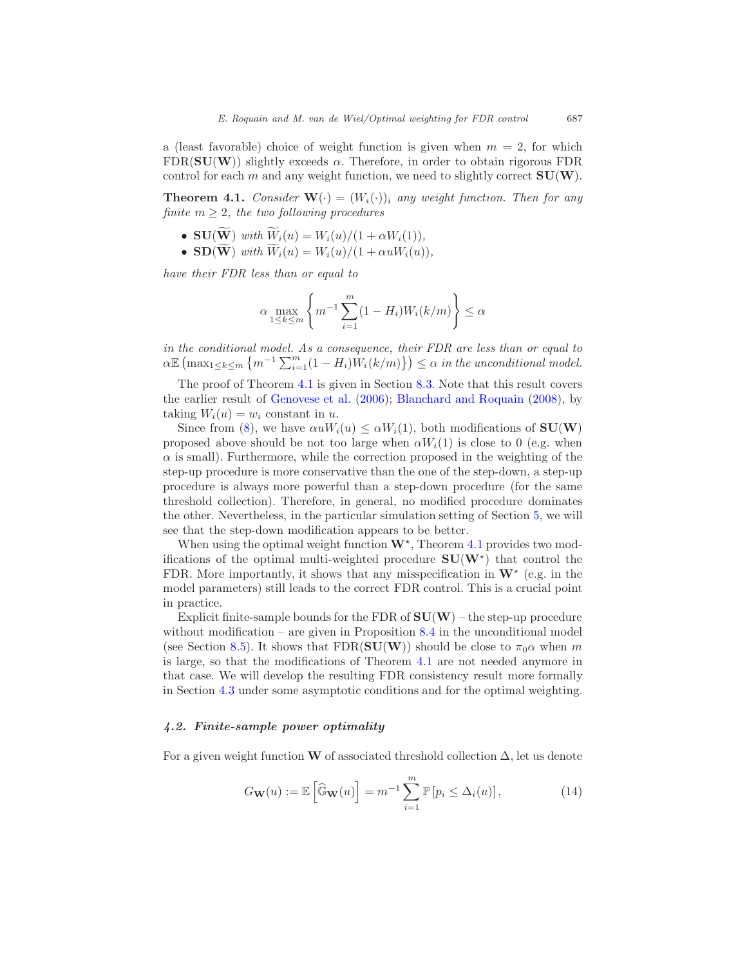a (least favorable) choice of weight function is given when  $m = 2$ , for which  $FDR(SU(W))$  slightly exceeds  $\alpha$ . Therefore, in order to obtain rigorous FDR control for each m and any weight function, we need to slightly correct  $SU(W)$ .

<span id="page-10-0"></span>**Theorem 4.1.** Consider  $\mathbf{W}(\cdot) = (W_i(\cdot))_i$  any weight function. Then for any finite  $m > 2$ , the two following procedures

- SU( $\widetilde{\mathbf{W}}$ ) with  $\widetilde{W}_i(u) = W_i(u)/(1 + \alpha W_i(1)),$
- $\mathbf{SD}(\widetilde{\mathbf{W}})$  with  $\widetilde{W}_i(u) = W_i(u)/(1 + \alpha u W_i(u)),$

have their FDR less than or equal to

$$
\alpha \max_{1 \le k \le m} \left\{ m^{-1} \sum_{i=1}^m (1 - H_i) W_i(k/m) \right\} \le \alpha
$$

in the conditional model. As a consequence, their FDR are less than or equal to  $\alpha \mathbb{E} \left( \max_{1 \leq k \leq m} \left\{ m^{-1} \sum_{i=1}^m (1 - H_i) W_i(k/m) \right\} \right) \leq \alpha$  in the unconditional model.

The proof of Theorem [4.1](#page-10-0) is given in Section [8.3.](#page-22-0) Note that this result covers the earlier result of [Genovese et al.](#page-33-5) [\(2006](#page-33-5)); [Blanchard and Roquain](#page-32-2) [\(2008\)](#page-32-2), by taking  $W_i(u) = w_i$  constant in u.

Since from [\(8\)](#page-6-2), we have  $\alpha uW_i(u) \leq \alpha W_i(1)$ , both modifications of  $SU(W)$ proposed above should be not too large when  $\alpha W_i(1)$  is close to 0 (e.g. when  $\alpha$  is small). Furthermore, while the correction proposed in the weighting of the step-up procedure is more conservative than the one of the step-down, a step-up procedure is always more powerful than a step-down procedure (for the same threshold collection). Therefore, in general, no modified procedure dominates the other. Nevertheless, in the particular simulation setting of Section [5,](#page-14-0) we will see that the step-down modification appears to be better.

When using the optimal weight function  $W^*$ , Theorem [4.1](#page-10-0) provides two modifications of the optimal multi-weighted procedure  $SU(W^*)$  that control the FDR. More importantly, it shows that any misspecification in  $\mathbf{W}^*$  (e.g. in the model parameters) still leads to the correct FDR control. This is a crucial point in practice.

Explicit finite-sample bounds for the FDR of  $SU(W)$  – the step-up procedure without modification – are given in Proposition [8.4](#page-27-0) in the unconditional model (see Section [8.5\)](#page-26-0). It shows that FDR( $SU(W)$ ) should be close to  $\pi_0 \alpha$  when m is large, so that the modifications of Theorem [4.1](#page-10-0) are not needed anymore in that case. We will develop the resulting FDR consistency result more formally in Section [4.3](#page-11-0) under some asymptotic conditions and for the optimal weighting.

#### <span id="page-10-2"></span>4.2. Finite-sample power optimality

For a given weight function W of associated threshold collection  $\Delta$ , let us denote

<span id="page-10-1"></span>
$$
G_{\mathbf{W}}(u) := \mathbb{E}\left[\widehat{\mathbb{G}}_{\mathbf{W}}(u)\right] = m^{-1} \sum_{i=1}^{m} \mathbb{P}\left[p_i \leq \Delta_i(u)\right],\tag{14}
$$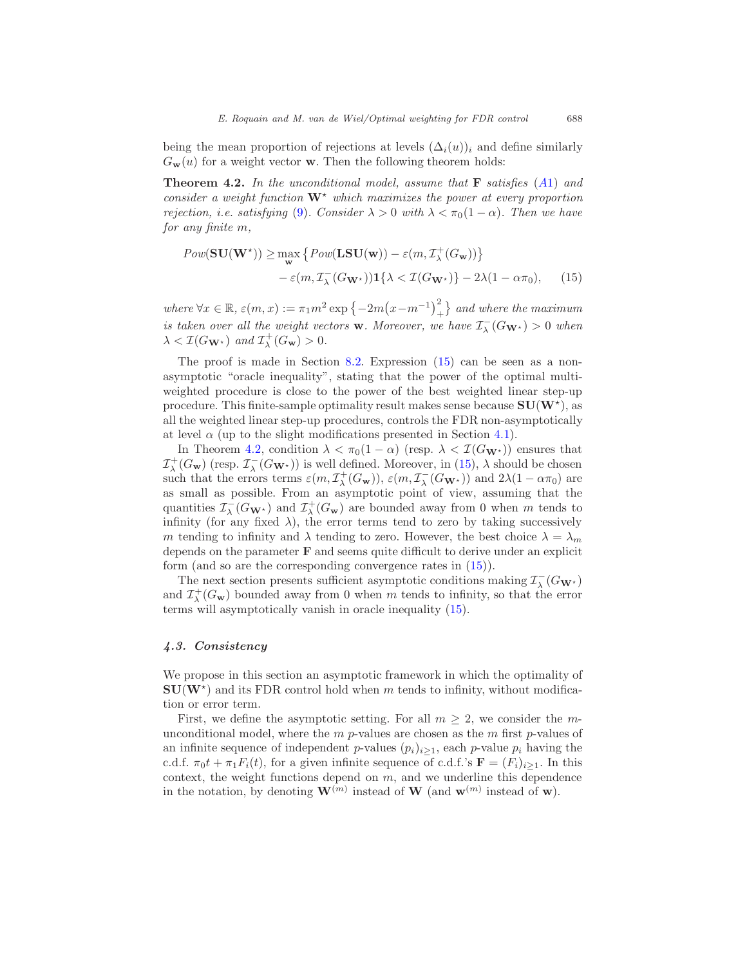<span id="page-11-2"></span>being the mean proportion of rejections at levels  $(\Delta_i(u))_i$  and define similarly  $G_{\bf w}(u)$  for a weight vector **w**. Then the following theorem holds:

**Theorem 4.2.** In the unconditional model, assume that  $\bf{F}$  satisfies ([A](#page-4-0)1) and consider a weight function  $W^*$  which maximizes the power at every proportion rejection, i.e. satisfying [\(9\)](#page-6-1). Consider  $\lambda > 0$  with  $\lambda < \pi_0(1 - \alpha)$ . Then we have for any finite m,

<span id="page-11-1"></span>
$$
Pow(\mathbf{SU}(\mathbf{W}^*)) \ge \max_{\mathbf{w}} \left\{ Pow(\mathbf{LSU}(\mathbf{w})) - \varepsilon(m, \mathcal{I}_{\lambda}^+(G_{\mathbf{w}})) \right\} - \varepsilon(m, \mathcal{I}_{\lambda}^-(G_{\mathbf{W}^*)}) \mathbf{1} \left\{ \lambda < \mathcal{I}(G_{\mathbf{W}^*}) \right\} - 2\lambda(1 - \alpha\pi_0), \qquad (15)
$$

where  $\forall x \in \mathbb{R}$ ,  $\varepsilon(m, x) := \pi_1 m^2 \exp \{-2m(x - m^{-1})^2 + 1\}$  and where the maximum is taken over all the weight vectors **w**. Moreover, we have  $\mathcal{I}_{\lambda}^{-}(G_{\mathbf{W}^{\star}}) > 0$  when  $\lambda < \mathcal{I}(G_{\mathbf{W}^{\star}})$  and  $\mathcal{I}_{\lambda}^{+}(G_{\mathbf{w}}) > 0$ .

The proof is made in Section [8.2.](#page-21-0) Expression [\(15\)](#page-11-1) can be seen as a nonasymptotic "oracle inequality", stating that the power of the optimal multiweighted procedure is close to the power of the best weighted linear step-up procedure. This finite-sample optimality result makes sense because  $SU(W^*)$ , as all the weighted linear step-up procedures, controls the FDR non-asymptotically at level  $\alpha$  (up to the slight modifications presented in Section [4.1\)](#page-9-1).

In Theorem [4.2,](#page-11-2) condition  $\lambda < \pi_0(1-\alpha)$  (resp.  $\lambda < \mathcal{I}(G_{\mathbf{W}^*})$ ) ensures that  $\mathcal{I}_{\lambda}^+(G_{\bf w})$  (resp.  $\mathcal{I}_{\lambda}^-(G_{{\bf W}^{\star}})$ ) is well defined. Moreover, in [\(15\)](#page-11-1),  $\lambda$  should be chosen such that the errors terms  $\varepsilon(m, \mathcal{I}_{\lambda}^+(G_{\mathbf{w}}))$ ,  $\varepsilon(m, \mathcal{I}_{\lambda}^-(G_{\mathbf{W}^*}))$  and  $2\lambda(1 - \alpha\pi_0)$  are as small as possible. From an asymptotic point of view, assuming that the quantities  $\mathcal{I}^-_\lambda(G_{\mathbf{W}^*})$  and  $\mathcal{I}^+_\lambda(G_{\mathbf{w}})$  are bounded away from 0 when m tends to infinity (for any fixed  $\lambda$ ), the error terms tend to zero by taking successively m tending to infinity and  $\lambda$  tending to zero. However, the best choice  $\lambda = \lambda_m$ depends on the parameter F and seems quite difficult to derive under an explicit form (and so are the corresponding convergence rates in [\(15\)](#page-11-1)).

The next section presents sufficient asymptotic conditions making  $\mathcal{I}^-_{\lambda}(G_{\mathbf{W}^*})$ and  $\mathcal{I}^+_\lambda(G_w)$  bounded away from 0 when m tends to infinity, so that the error terms will asymptotically vanish in oracle inequality [\(15\)](#page-11-1).

#### <span id="page-11-0"></span>4.3. Consistency

We propose in this section an asymptotic framework in which the optimality of  $SU(W^*)$  and its FDR control hold when m tends to infinity, without modification or error term.

First, we define the asymptotic setting. For all  $m \geq 2$ , we consider the munconditional model, where the  $m$  p-values are chosen as the  $m$  first p-values of an infinite sequence of independent p-values  $(p_i)_{i\geq 1}$ , each p-value  $p_i$  having the c.d.f.  $\pi_0 t + \pi_1 F_i(t)$ , for a given infinite sequence of c.d.f.'s  $\mathbf{F} = (F_i)_{i \geq 1}$ . In this context, the weight functions depend on  $m$ , and we underline this dependence in the notation, by denoting  $\mathbf{W}^{(m)}$  instead of  $\mathbf{W}$  (and  $\mathbf{w}^{(m)}$  instead of  $\mathbf{w}$ ).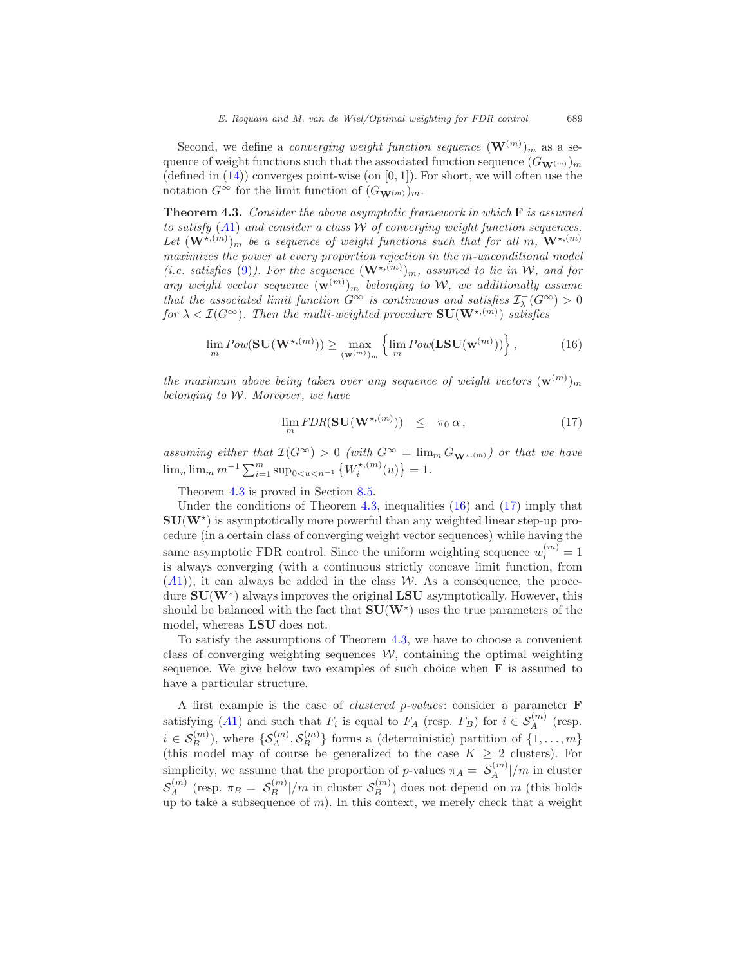Second, we define a *converging weight function sequence*  $(\mathbf{W}^{(m)})_m$  as a sequence of weight functions such that the associated function sequence  $(G_{\mathbf{W}^{(m)}})_{m}$ (defined in  $(14)$ ) converges point-wise (on  $[0, 1]$ ). For short, we will often use the notation  $G^{\infty}$  for the limit function of  $(G_{\mathbf{W}^{(m)}})_{m}$ .

<span id="page-12-0"></span>**Theorem 4.3.** Consider the above asymptotic framework in which  $\bf{F}$  is assumed to satisfy  $(A1)$  $(A1)$  $(A1)$  and consider a class W of converging weight function sequences. Let  $(\mathbf{W}^{\star,(m)})_m$  be a sequence of weight functions such that for all m,  $\mathbf{W}^{\star,(m)}$ maximizes the power at every proportion rejection in the m-unconditional model (i.e. satisfies [\(9\)](#page-6-1)). For the sequence  $(\mathbf{W}^{\star,(m)})_m$ , assumed to lie in W, and for any weight vector sequence  $(\mathbf{w}^{(m)})_m$  belonging to W, we additionally assume that the associated limit function  $G^{\infty}$  is continuous and satisfies  $\mathcal{I}^-_\lambda(G^{\infty}) > 0$ for  $\lambda < \mathcal{I}(G^{\infty})$ . Then the multi-weighted procedure  $\mathbf{SU}(\mathbf{W}^{\star,(m)})$  satisfies

$$
\lim_{m} Pow(\mathbf{SU}(\mathbf{W}^{\star,(m)})) \ge \max_{(\mathbf{w}^{(m)})_m} \left\{ \lim_{m} Pow(\mathbf{LSU}(\mathbf{w}^{(m)})) \right\},
$$
\n(16)

<span id="page-12-1"></span>the maximum above being taken over any sequence of weight vectors  $(\mathbf{w}^{(m)})_m$ belonging to W. Moreover, we have

$$
\lim_{m} FDR(\mathbf{SU}(\mathbf{W}^{\star,(m)})) \leq \pi_0 \alpha, \tag{17}
$$

<span id="page-12-2"></span>assuming either that  $\mathcal{I}(G^{\infty}) > 0$  (with  $G^{\infty} = \lim_{m \to \infty} G_{\mathbf{W}^{*,(m)}}$ ) or that we have  $\lim_{n} \lim_{m} m^{-1} \sum_{i=1}^{m} \sup_{0 \le u \le n^{-1}} \left\{ W_i^{*,(m)} \right\}$  $\binom{x, (m)}{i}(u) = 1.$ 

Theorem [4.3](#page-12-0) is proved in Section [8.5.](#page-26-0)

Under the conditions of Theorem [4.3,](#page-12-0) inequalities [\(16\)](#page-12-1) and [\(17\)](#page-12-2) imply that  $SU(W^*)$  is asymptotically more powerful than any weighted linear step-up procedure (in a certain class of converging weight vector sequences) while having the same asymptotic FDR control. Since the uniform weighting sequence  $w_i^{(m)} = 1$ is always converging (with a continuous strictly concave limit function, from  $(A1)$  $(A1)$  $(A1)$ , it can always be added in the class W. As a consequence, the procedure  $SU(W^*)$  always improves the original LSU asymptotically. However, this should be balanced with the fact that  $SU(W^*)$  uses the true parameters of the model, whereas LSU does not.

To satisfy the assumptions of Theorem [4.3,](#page-12-0) we have to choose a convenient class of converging weighting sequences  $W$ , containing the optimal weighting sequence. We give below two examples of such choice when  $\bf{F}$  is assumed to have a particular structure.

A first example is the case of clustered p-values: consider a parameter F satisfying ([A](#page-4-0)1) and such that  $F_i$  is equal to  $F_A$  (resp.  $F_B$ ) for  $i \in S_A^{(m)}$  (resp.  $i \in \mathcal{S}_B^{(m)}$ ), where  $\{\mathcal{S}_A^{(m)}, \mathcal{S}_B^{(m)}\}$  forms a (deterministic) partition of  $\{1, \ldots, m\}$ (this model may of course be generalized to the case  $K \geq 2$  clusters). For simplicity, we assume that the proportion of p-values  $\pi_A = |\mathcal{S}_A^{(m)}|/m$  in cluster  $S_A^{(m)}$  (resp.  $\pi_B = |S_B^{(m)}|/m$  in cluster  $S_B^{(m)}$ ) does not depend on m (this holds up to take a subsequence of  $m$ ). In this context, we merely check that a weight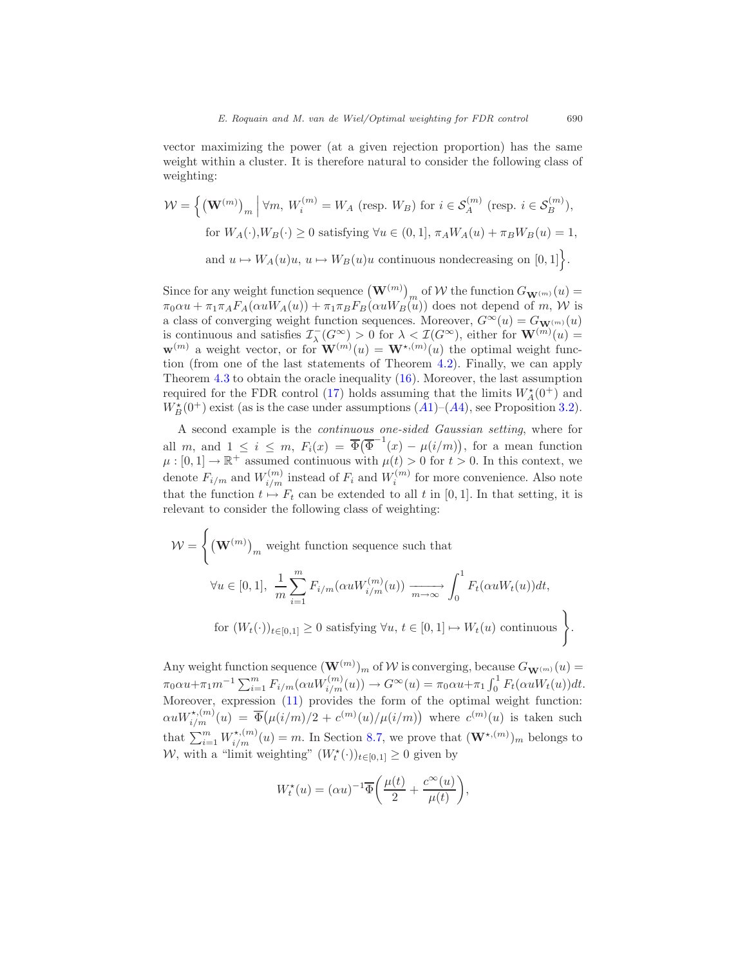vector maximizing the power (at a given rejection proportion) has the same weight within a cluster. It is therefore natural to consider the following class of weighting:

$$
\mathcal{W} = \left\{ \left(\mathbf{W}^{(m)}\right)_m \middle| \forall m, \, W_i^{(m)} = W_A \text{ (resp. } W_B \text{) for } i \in \mathcal{S}_A^{(m)} \text{ (resp. } i \in \mathcal{S}_B^{(m)} \text{)}, \right.
$$
\n
$$
\text{for } W_A(\cdot), W_B(\cdot) \ge 0 \text{ satisfying } \forall u \in (0, 1], \, \pi_A W_A(u) + \pi_B W_B(u) = 1,
$$
\n
$$
\text{and } u \mapsto W_A(u)u, \, u \mapsto W_B(u)u \text{ continuous nondecreasing on } [0, 1] \right\}.
$$

Since for any weight function sequence  $(\mathbf{W}^{(m)})_{m}$  of W the function  $G_{\mathbf{W}^{(m)}}(u)$  $\pi_0 \alpha u + \pi_1 \pi_A F_A(\alpha u W_A(u)) + \pi_1 \pi_B F_B(\alpha u W_B(u))$  does not depend of m, W is a class of converging weight function sequences. Moreover,  $G^{\infty}(u) = G_{\mathbf{W}^{(m)}}(u)$ is continuous and satisfies  $\mathcal{I}_{\lambda}(G^{\infty}) > 0$  for  $\lambda < \mathcal{I}(G^{\infty})$ , either for  $\mathbf{W}^{(m)}(u) =$  $\mathbf{w}^{(m)}$  a weight vector, or for  $\mathbf{W}^{(m)}(u) = \mathbf{W}^{*,(m)}(u)$  the optimal weight function (from one of the last statements of Theorem [4.2\)](#page-11-2). Finally, we can apply Theorem [4.3](#page-12-0) to obtain the oracle inequality [\(16\)](#page-12-1). Moreover, the last assumption required for the FDR control [\(17\)](#page-12-2) holds assuming that the limits  $W^{\star}_A(0^+)$  and  $W_B^{\star}(0^+)$  exist (as is the case under assumptions  $(A1)$  $(A1)$  $(A1)$ – $(A4)$ , see Proposition [3.2\)](#page-7-1).

A second example is the continuous one-sided Gaussian setting, where for all m, and  $1 \leq i \leq m$ ,  $F_i(x) = \overline{\Phi}(\overline{\Phi}^{-1}(x) - \mu(i/m))$ , for a mean function  $\mu:[0,1]\to\mathbb{R}^+$  assumed continuous with  $\mu(t)>0$  for  $t>0$ . In this context, we denote  $F_{i/m}$  and  $W_{i/m}^{(m)}$  instead of  $F_i$  and  $W_i^{(m)}$  for more convenience. Also note that the function  $t \mapsto F_t$  can be extended to all t in [0, 1]. In that setting, it is relevant to consider the following class of weighting:

$$
\mathcal{W} = \left\{ (\mathbf{W}^{(m)})_m \text{ weight function sequence such that}
$$
  

$$
\forall u \in [0, 1], \frac{1}{m} \sum_{i=1}^m F_{i/m}(\alpha u W_{i/m}^{(m)}(u)) \xrightarrow[m \to \infty]{} \int_0^1 F_t(\alpha u W_t(u)) dt,
$$
  
for  $(W_t(\cdot))_{t \in [0, 1]} \ge 0$  satisfying  $\forall u, t \in [0, 1] \mapsto W_t(u)$  continuous

Any weight function sequence  $(\mathbf{W}^{(m)}_{{\scriptscriptstyle \bullet}})_m$  of W is converging, because  $G_{\mathbf{W}^{(m)}}(u)$  $\pi_0 \alpha u + \pi_1 m^{-1} \sum_{i=1}^m F_{i/m}(\alpha u W_{i/m}^{(m)}(u)) \to G^\infty(u) = \pi_0 \alpha u + \pi_1 \int_0^1 F_t(\alpha u W_t(u)) dt.$ Moreover, expression [\(11\)](#page-7-0) provides the form of the optimal weight function:  $\alpha uW^{*,(m)}_{i/m}(u) = \overline{\Phi}(\mu(i/m)/2 + c^{(m)}(u)/\mu(i/m))$  where  $c^{(m)}(u)$  is taken such that  $\sum_{i=1}^{m} W_{i/m}^{\star,(m)}(u) = m$ . In Section [8.7,](#page-29-1) we prove that  $(\mathbf{W}^{\star,(m)})_m$  belongs to W, with a "limit weighting"  $(W_t^*(\cdot))_{t\in[0,1]}\geq 0$  given by

$$
W_t^\star(u)=(\alpha u)^{-1}\overline{\Phi}\bigg(\frac{\mu(t)}{2}+\frac{c^\infty(u)}{\mu(t)}\bigg),
$$

.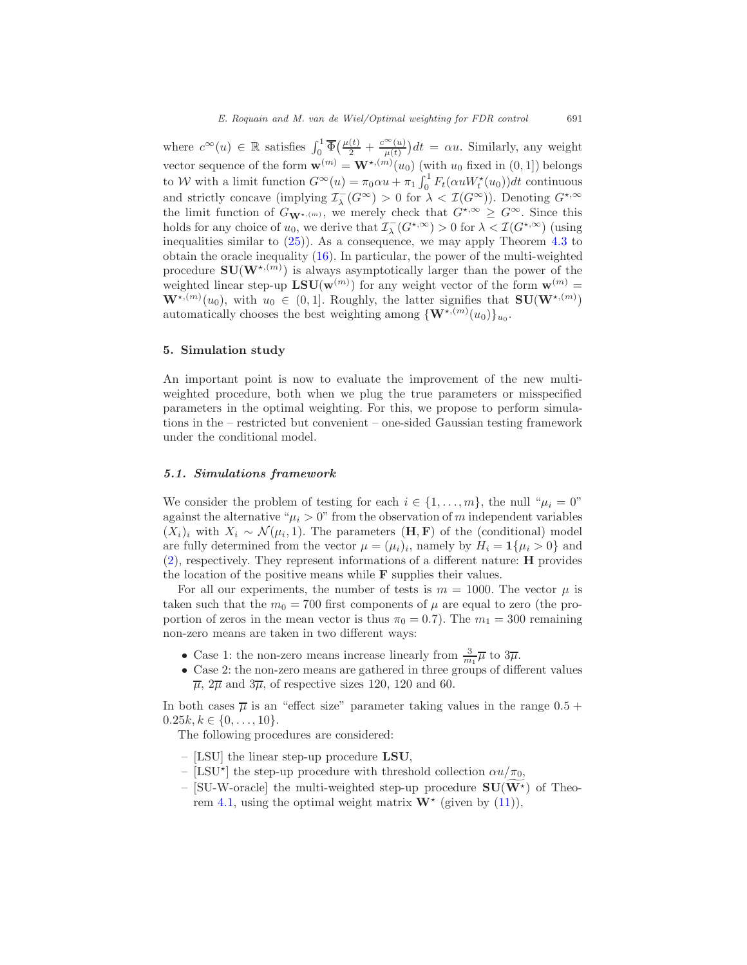where  $c^{\infty}(u) \in \mathbb{R}$  satisfies  $\int_0^1 \overline{\Phi}(\frac{\mu(t)}{2} + \frac{c^{\infty}(u)}{\mu(t)})$  $(\frac{\infty(u)}{\mu(t)})dt = \alpha u$ . Similarly, any weight vector sequence of the form  $\mathbf{w}^{(m)} = \mathbf{W}^{*,(m)}(u_0)$  (with  $u_0$  fixed in  $(0, 1]$ ) belongs to W with a limit function  $G^{\infty}(u) = \pi_0 \alpha u + \pi_1 \int_0^1 F_t(\alpha u W_t^*(u_0)) dt$  continuous and strictly concave (implying  $\mathcal{I}_{\lambda}^{-}(G^{\infty}) > 0$  for  $\lambda < \mathcal{I}(G^{\infty})$ ). Denoting  $G^{*,\infty}$ the limit function of  $G_{\mathbf{W}^{\star,(m)}}$ , we merely check that  $G^{\star,\infty} \geq G^{\infty}$ . Since this holds for any choice of  $u_0$ , we derive that  $\mathcal{I}_{\lambda}(G^{\star,\infty}) > 0$  for  $\lambda < \mathcal{I}(G^{\star,\infty})$  (using inequalities similar to  $(25)$ ). As a consequence, we may apply Theorem [4.3](#page-12-0) to obtain the oracle inequality [\(16\)](#page-12-1). In particular, the power of the multi-weighted procedure  $SU(W^{*,(m)})$  is always asymptotically larger than the power of the weighted linear step-up  $LSU(w^{(m)})$  for any weight vector of the form  $w^{(m)} =$  $\mathbf{W}^{\star,(m)}(u_0)$ , with  $u_0 \in (0,1]$ . Roughly, the latter signifies that  $\mathbf{SU}(\mathbf{W}^{\star,(m)})$ automatically chooses the best weighting among  $\{W^{\star,(m)}(u_0)\}_{u_0}$ .

#### <span id="page-14-0"></span>5. Simulation study

An important point is now to evaluate the improvement of the new multiweighted procedure, both when we plug the true parameters or misspecified parameters in the optimal weighting. For this, we propose to perform simulations in the – restricted but convenient – one-sided Gaussian testing framework under the conditional model.

#### 5.1. Simulations framework

We consider the problem of testing for each  $i \in \{1, \ldots, m\}$ , the null " $\mu_i = 0$ " against the alternative " $\mu_i > 0$ " from the observation of m independent variables  $(X_i)_i$  with  $X_i \sim \mathcal{N}(\mu_i, 1)$ . The parameters  $(\mathbf{H}, \mathbf{F})$  of the (conditional) model are fully determined from the vector  $\mu = (\mu_i)_i$ , namely by  $H_i = \mathbf{1}\{\mu_i > 0\}$  and [\(2\)](#page-4-5), respectively. They represent informations of a different nature: H provides the location of the positive means while F supplies their values.

For all our experiments, the number of tests is  $m = 1000$ . The vector  $\mu$  is taken such that the  $m_0 = 700$  first components of  $\mu$  are equal to zero (the proportion of zeros in the mean vector is thus  $\pi_0 = 0.7$ ). The  $m_1 = 300$  remaining non-zero means are taken in two different ways:

- Case 1: the non-zero means increase linearly from  $\frac{3}{m_1}\overline{\mu}$  to  $3\overline{\mu}$ .
- Case 2: the non-zero means are gathered in three groups of different values  $\overline{\mu}$ ,  $2\overline{\mu}$  and  $3\overline{\mu}$ , of respective sizes 120, 120 and 60.

In both cases  $\overline{\mu}$  is an "effect size" parameter taking values in the range  $0.5 +$  $0.25k, k \in \{0, \ldots, 10\}.$ 

The following procedures are considered:

- [LSU] the linear step-up procedure  $LSU$ ,
- [LSU<sup>\*</sup>] the step-up procedure with threshold collection  $\alpha u/\pi_0$ ,
- [SU-W-oracle] the multi-weighted step-up procedure  $SU(W^*)$  of Theo-rem [4.1,](#page-10-0) using the optimal weight matrix  $\mathbf{W}^*$  (given by [\(11\)](#page-7-0)),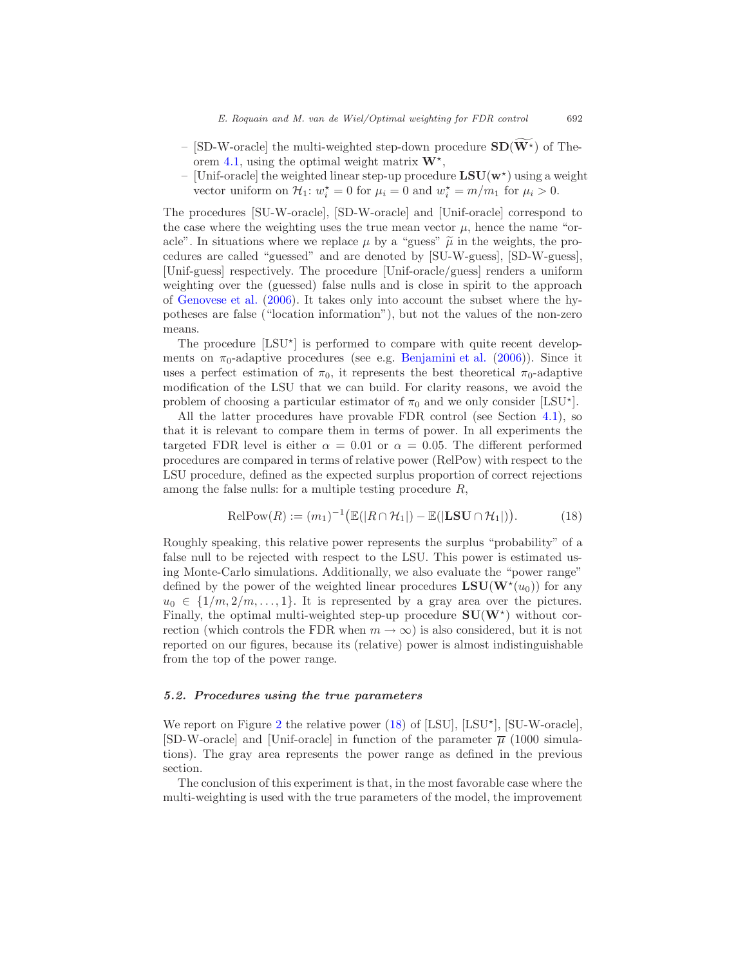- [SD-W-oracle] the multi-weighted step-down procedure  $SD(\widetilde{W^*})$  of The-orem [4.1,](#page-10-0) using the optimal weight matrix  $W^*$ ,
- [Unif-oracle] the weighted linear step-up procedure  $LSU(w^*)$  using a weight vector uniform on  $\mathcal{H}_1$ :  $w_i^* = 0$  for  $\mu_i = 0$  and  $w_i^* = m/m_1$  for  $\mu_i > 0$ .

The procedures [SU-W-oracle], [SD-W-oracle] and [Unif-oracle] correspond to the case where the weighting uses the true mean vector  $\mu$ , hence the name "oracle". In situations where we replace  $\mu$  by a "guess"  $\tilde{\mu}$  in the weights, the procedures are called "guessed" and are denoted by [SU-W-guess], [SD-W-guess], [Unif-guess] respectively. The procedure [Unif-oracle/guess] renders a uniform weighting over the (guessed) false nulls and is close in spirit to the approach of [Genovese et al.](#page-33-5) [\(2006](#page-33-5)). It takes only into account the subset where the hypotheses are false ("location information"), but not the values of the non-zero means.

The procedure [LSU<sup>\*</sup>] is performed to compare with quite recent developments on  $\pi_0$ -adaptive procedures (see e.g. [Benjamini et al.](#page-32-4) [\(2006\)](#page-32-4)). Since it uses a perfect estimation of  $\pi_0$ , it represents the best theoretical  $\pi_0$ -adaptive modification of the LSU that we can build. For clarity reasons, we avoid the problem of choosing a particular estimator of  $\pi_0$  and we only consider [LSU<sup>\*</sup>].

All the latter procedures have provable FDR control (see Section [4.1\)](#page-9-1), so that it is relevant to compare them in terms of power. In all experiments the targeted FDR level is either  $\alpha = 0.01$  or  $\alpha = 0.05$ . The different performed procedures are compared in terms of relative power (RelPow) with respect to the LSU procedure, defined as the expected surplus proportion of correct rejections among the false nulls: for a multiple testing procedure R,

<span id="page-15-0"></span>
$$
\text{RelPow}(R) := (m_1)^{-1} \big( \mathbb{E}(|R \cap \mathcal{H}_1|) - \mathbb{E}(|LS\mathbf{U} \cap \mathcal{H}_1|) \big).
$$
 (18)

Roughly speaking, this relative power represents the surplus "probability" of a false null to be rejected with respect to the LSU. This power is estimated using Monte-Carlo simulations. Additionally, we also evaluate the "power range" defined by the power of the weighted linear procedures  $LSU(W^*(u_0))$  for any  $u_0 \in \{1/m, 2/m, \ldots, 1\}$ . It is represented by a gray area over the pictures. Finally, the optimal multi-weighted step-up procedure  $SU(W^*)$  without correction (which controls the FDR when  $m \to \infty$ ) is also considered, but it is not reported on our figures, because its (relative) power is almost indistinguishable from the top of the power range.

#### 5.2. Procedures using the true parameters

We report on Figure [2](#page-16-0) the relative power  $(18)$  of [LSU], [LSU<sup>\*</sup>], [SU-W-oracle], [SD-W-oracle] and [Unif-oracle] in function of the parameter  $\overline{\mu}$  (1000 simulations). The gray area represents the power range as defined in the previous section.

The conclusion of this experiment is that, in the most favorable case where the multi-weighting is used with the true parameters of the model, the improvement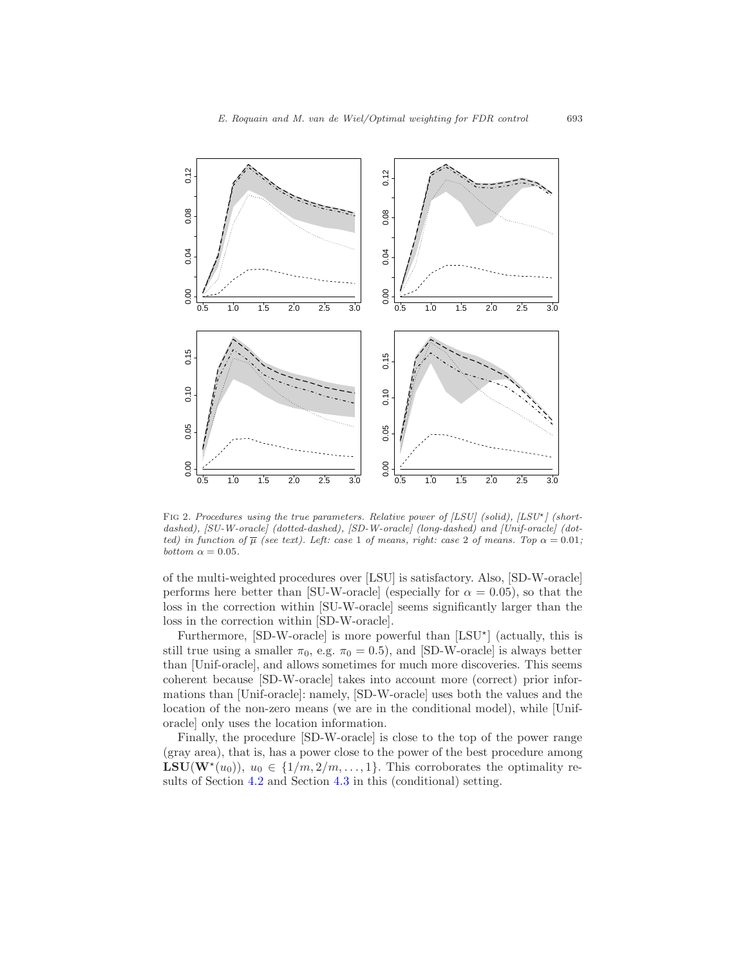

<span id="page-16-0"></span>FIG 2. Procedures using the true parameters. Relative power of  $[LSU]$  (solid),  $[LSU^{\star}]$  (shortdashed), [SU-W-oracle] (dotted-dashed), [SD-W-oracle] (long-dashed) and [Unif-oracle] (dotted) in function of  $\overline{\mu}$  (see text). Left: case 1 of means, right: case 2 of means. Top  $\alpha = 0.01$ ; bottom  $\alpha = 0.05$ .

of the multi-weighted procedures over [LSU] is satisfactory. Also, [SD-W-oracle] performs here better than [SU-W-oracle] (especially for  $\alpha = 0.05$ ), so that the loss in the correction within [SU-W-oracle] seems significantly larger than the loss in the correction within [SD-W-oracle].

Furthermore, [SD-W-oracle] is more powerful than [LSU<sup>\*</sup>] (actually, this is still true using a smaller  $\pi_0$ , e.g.  $\pi_0 = 0.5$ ), and [SD-W-oracle] is always better than [Unif-oracle], and allows sometimes for much more discoveries. This seems coherent because [SD-W-oracle] takes into account more (correct) prior informations than [Unif-oracle]: namely, [SD-W-oracle] uses both the values and the location of the non-zero means (we are in the conditional model), while [Uniforacle] only uses the location information.

Finally, the procedure [SD-W-oracle] is close to the top of the power range (gray area), that is, has a power close to the power of the best procedure among **LSU**( $\mathbf{W}^*(u_0)$ ),  $u_0 \in \{1/m, 2/m, ..., 1\}$ . This corroborates the optimality results of Section [4.2](#page-10-2) and Section [4.3](#page-11-0) in this (conditional) setting.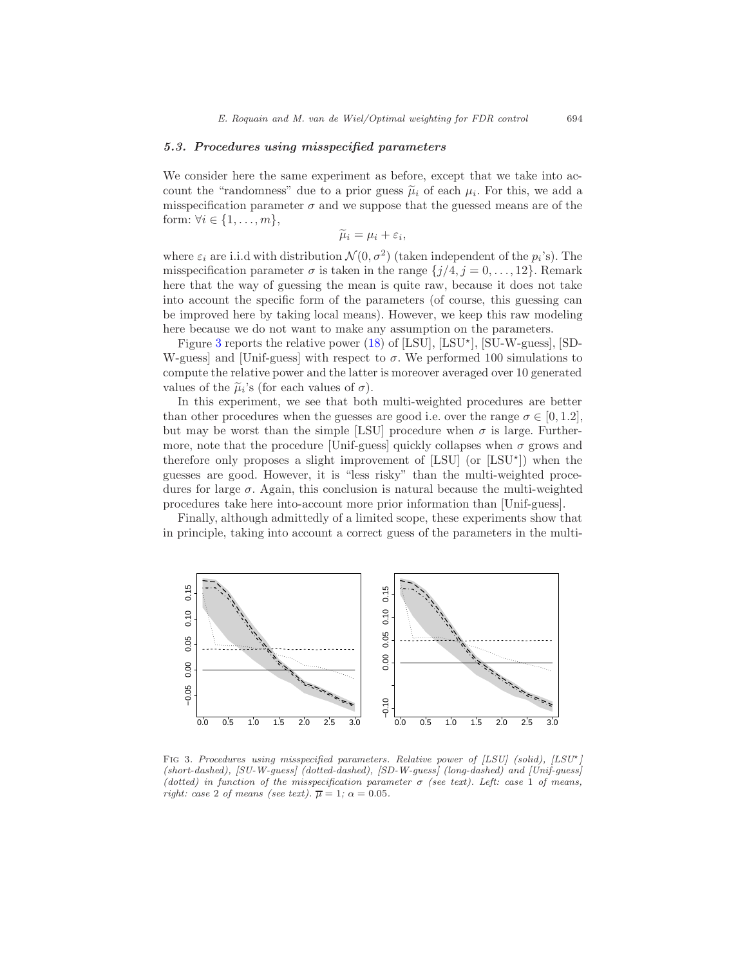#### 5.3. Procedures using misspecified parameters

We consider here the same experiment as before, except that we take into account the "randomness" due to a prior guess  $\tilde{\mu}_i$  of each  $\mu_i$ . For this, we add a misspecification parameter  $\sigma$  and we suppose that the guessed means are of the form:  $\forall i \in \{1, \ldots, m\},\$ 

$$
\widetilde{\mu}_i = \mu_i + \varepsilon_i,
$$

where  $\varepsilon_i$  are i.i.d with distribution  $\mathcal{N}(0, \sigma^2)$  (taken independent of the  $p_i$ 's). The misspecification parameter  $\sigma$  is taken in the range  $\{j/4, j = 0, \ldots, 12\}$ . Remark here that the way of guessing the mean is quite raw, because it does not take into account the specific form of the parameters (of course, this guessing can be improved here by taking local means). However, we keep this raw modeling here because we do not want to make any assumption on the parameters.

Figure [3](#page-17-0) reports the relative power  $(18)$  of [LSU], [LSU<sup>\*</sup>], [SU-W-guess], [SD-W-guess] and [Unif-guess] with respect to  $\sigma$ . We performed 100 simulations to compute the relative power and the latter is moreover averaged over 10 generated values of the  $\tilde{\mu}_i$ 's (for each values of  $\sigma$ ).

In this experiment, we see that both multi-weighted procedures are better than other procedures when the guesses are good i.e. over the range  $\sigma \in [0, 1.2]$ , but may be worst than the simple [LSU] procedure when  $\sigma$  is large. Furthermore, note that the procedure [Unif-guess] quickly collapses when  $\sigma$  grows and therefore only proposes a slight improvement of  $[LSU]$  (or  $[LSU^*]$ ) when the guesses are good. However, it is "less risky" than the multi-weighted procedures for large  $\sigma$ . Again, this conclusion is natural because the multi-weighted procedures take here into-account more prior information than [Unif-guess].

Finally, although admittedly of a limited scope, these experiments show that in principle, taking into account a correct guess of the parameters in the multi-



<span id="page-17-0"></span>FIG 3. Procedures using misspecified parameters. Relative power of  $[LSU]$  (solid),  $[LSU^*]$ (short-dashed), [SU-W-guess] (dotted-dashed), [SD-W-guess] (long-dashed) and [Unif-guess] (dotted) in function of the misspecification parameter  $\sigma$  (see text). Left: case 1 of means, right: case 2 of means (see text).  $\overline{\mu} = 1$ ;  $\alpha = 0.05$ .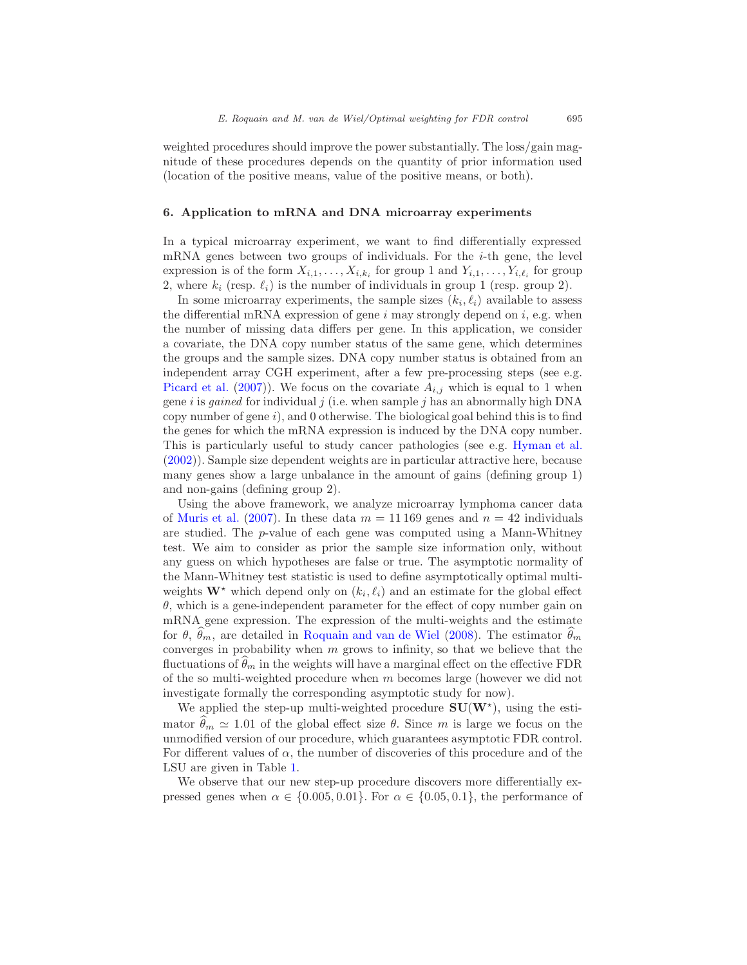weighted procedures should improve the power substantially. The loss/gain magnitude of these procedures depends on the quantity of prior information used (location of the positive means, value of the positive means, or both).

#### 6. Application to mRNA and DNA microarray experiments

In a typical microarray experiment, we want to find differentially expressed mRNA genes between two groups of individuals. For the  $i$ -th gene, the level expression is of the form  $X_{i,1}, \ldots, X_{i,k_i}$  for group 1 and  $Y_{i,1}, \ldots, Y_{i,\ell_i}$  for group 2, where  $k_i$  (resp.  $\ell_i$ ) is the number of individuals in group 1 (resp. group 2).

In some microarray experiments, the sample sizes  $(k_i, \ell_i)$  available to assess the differential mRNA expression of gene  $i$  may strongly depend on  $i$ , e.g. when the number of missing data differs per gene. In this application, we consider a covariate, the DNA copy number status of the same gene, which determines the groups and the sample sizes. DNA copy number status is obtained from an independent array CGH experiment, after a few pre-processing steps (see e.g. [Picard et al.](#page-33-9) [\(2007](#page-33-9))). We focus on the covariate  $A_{i,j}$  which is equal to 1 when gene i is *gained* for individual j (i.e. when sample j has an abnormally high DNA copy number of gene i), and 0 otherwise. The biological goal behind this is to find the genes for which the mRNA expression is induced by the DNA copy number. This is particularly useful to study cancer pathologies (see e.g. [Hyman et al.](#page-33-10) [\(2002\)](#page-33-10)). Sample size dependent weights are in particular attractive here, because many genes show a large unbalance in the amount of gains (defining group 1) and non-gains (defining group 2).

Using the above framework, we analyze microarray lymphoma cancer data of [Muris et al.](#page-33-11) [\(2007\)](#page-33-11). In these data  $m = 11169$  genes and  $n = 42$  individuals are studied. The p-value of each gene was computed using a Mann-Whitney test. We aim to consider as prior the sample size information only, without any guess on which hypotheses are false or true. The asymptotic normality of the Mann-Whitney test statistic is used to define asymptotically optimal multiweights  $\mathbf{W}^*$  which depend only on  $(k_i, \ell_i)$  and an estimate for the global effect  $\theta$ , which is a gene-independent parameter for the effect of copy number gain on mRNA gene expression. The expression of the multi-weights and the estimate for  $\theta$ ,  $\theta_m$ , are detailed in [Roquain and van de Wiel](#page-33-8) [\(2008](#page-33-8)). The estimator  $\theta_m$ converges in probability when  $m$  grows to infinity, so that we believe that the fluctuations of  $\theta_m$  in the weights will have a marginal effect on the effective FDR of the so multi-weighted procedure when  $m$  becomes large (however we did not investigate formally the corresponding asymptotic study for now).

We applied the step-up multi-weighted procedure  $SU(W^*)$ , using the estimator  $\theta_m \simeq 1.01$  of the global effect size  $\theta$ . Since m is large we focus on the unmodified version of our procedure, which guarantees asymptotic FDR control. For different values of  $\alpha$ , the number of discoveries of this procedure and of the LSU are given in Table [1.](#page-19-1)

We observe that our new step-up procedure discovers more differentially expressed genes when  $\alpha \in \{0.005, 0.01\}$ . For  $\alpha \in \{0.05, 0.1\}$ , the performance of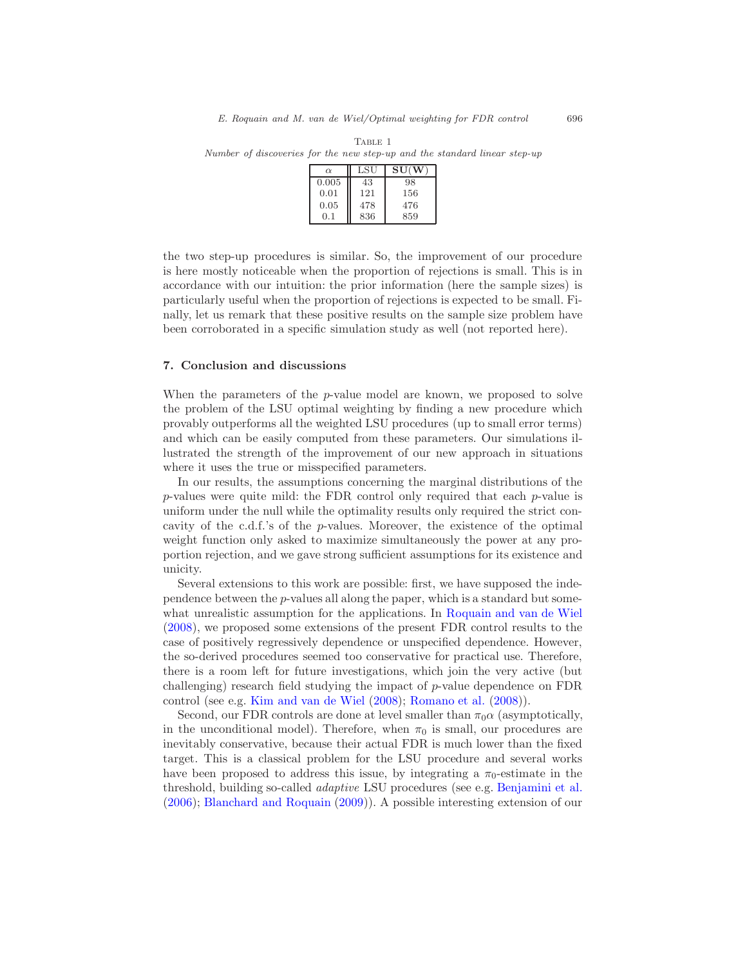| $\alpha$ | LSU | SU(W) |
|----------|-----|-------|
| 0.005    | 43  | 98    |
| 0.01     | 121 | 156   |
| 0.05     | 478 | 476   |
| 0.1      | 836 | 859   |

<span id="page-19-1"></span>TABLE 1 Number of discoveries for the new step-up and the standard linear step-up

the two step-up procedures is similar. So, the improvement of our procedure is here mostly noticeable when the proportion of rejections is small. This is in accordance with our intuition: the prior information (here the sample sizes) is particularly useful when the proportion of rejections is expected to be small. Finally, let us remark that these positive results on the sample size problem have been corroborated in a specific simulation study as well (not reported here).

#### <span id="page-19-0"></span>7. Conclusion and discussions

When the parameters of the  $p$ -value model are known, we proposed to solve the problem of the LSU optimal weighting by finding a new procedure which provably outperforms all the weighted LSU procedures (up to small error terms) and which can be easily computed from these parameters. Our simulations illustrated the strength of the improvement of our new approach in situations where it uses the true or misspecified parameters.

In our results, the assumptions concerning the marginal distributions of the  $p$ -values were quite mild: the FDR control only required that each  $p$ -value is uniform under the null while the optimality results only required the strict concavity of the c.d.f.'s of the  $p$ -values. Moreover, the existence of the optimal weight function only asked to maximize simultaneously the power at any proportion rejection, and we gave strong sufficient assumptions for its existence and unicity.

Several extensions to this work are possible: first, we have supposed the independence between the p-values all along the paper, which is a standard but somewhat unrealistic assumption for the applications. In [Roquain and van de Wiel](#page-33-8) [\(2008\)](#page-33-8), we proposed some extensions of the present FDR control results to the case of positively regressively dependence or unspecified dependence. However, the so-derived procedures seemed too conservative for practical use. Therefore, there is a room left for future investigations, which join the very active (but challenging) research field studying the impact of  $p$ -value dependence on FDR control (see e.g. [Kim and van de Wiel](#page-33-12) [\(2008](#page-33-12)); [Romano et al.](#page-33-13) [\(2008\)](#page-33-13)).

Second, our FDR controls are done at level smaller than  $\pi_0 \alpha$  (asymptotically, in the unconditional model). Therefore, when  $\pi_0$  is small, our procedures are inevitably conservative, because their actual FDR is much lower than the fixed target. This is a classical problem for the LSU procedure and several works have been proposed to address this issue, by integrating a  $\pi_0$ -estimate in the threshold, building so-called adaptive LSU procedures (see e.g. [Benjamini et al.](#page-32-4) [\(2006\)](#page-32-4); [Blanchard and Roquain](#page-32-5) [\(2009](#page-32-5))). A possible interesting extension of our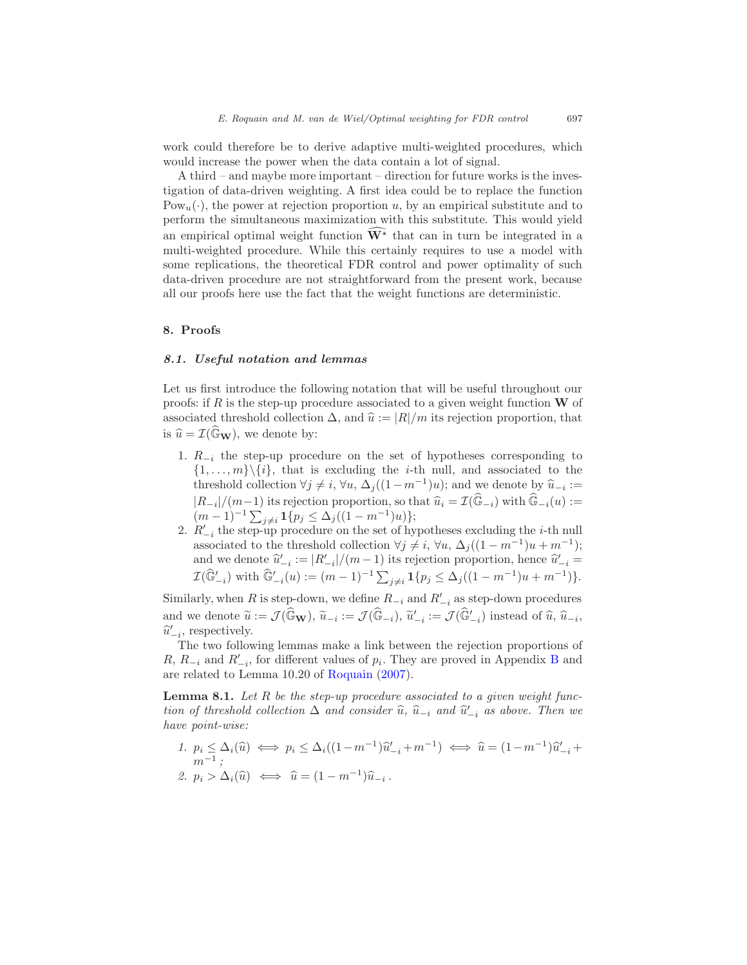work could therefore be to derive adaptive multi-weighted procedures, which would increase the power when the data contain a lot of signal.

A third – and maybe more important – direction for future works is the investigation of data-driven weighting. A first idea could be to replace the function  $Pow_u(\cdot)$ , the power at rejection proportion u, by an empirical substitute and to perform the simultaneous maximization with this substitute. This would yield an empirical optimal weight function  $\widehat{W^*}$  that can in turn be integrated in a multi-weighted procedure. While this certainly requires to use a model with some replications, the theoretical FDR control and power optimality of such data-driven procedure are not straightforward from the present work, because all our proofs here use the fact that the weight functions are deterministic.

#### <span id="page-20-1"></span><span id="page-20-0"></span>8. Proofs

#### 8.1. Useful notation and lemmas

Let us first introduce the following notation that will be useful throughout our proofs: if R is the step-up procedure associated to a given weight function  $\bf{W}$  of associated threshold collection  $\Delta$ , and  $\hat{u} := |R|/m$  its rejection proportion, that is  $\hat{u} = \mathcal{I}(\widehat{\mathbb{G}}_{\mathbf{W}})$ , we denote by:

- 1.  $R_{-i}$  the step-up procedure on the set of hypotheses corresponding to  $\{1, \ldots, m\} \backslash \{i\}$ , that is excluding the *i*-th null, and associated to the threshold collection  $\forall j \neq i$ ,  $\forall u, \Delta_j((1-m^{-1})u)$ ; and we denote by  $\widehat{u}_{-i} :=$  $|R_{-i}|/(m-1)$  its rejection proportion, so that  $\widehat{u}_i = \mathcal{I}(\widehat{\mathbb{G}}_{-i})$  with  $\widehat{\mathbb{G}}_{-i}(u) :=$  $(m-1)^{-1} \sum_{j \neq i} \mathbf{1} \{p_j \leq \Delta_j((1-m^{-1})u)\};$
- 2.  $R'_{-i}$  the step-up procedure on the set of hypotheses excluding the *i*-th null associated to the threshold collection  $\forall j \neq i, \forall u, \Delta_j((1 - m^{-1})u + m^{-1});$ and we denote  $\hat{u}'_{-i} := |R'_{-i}|/(m-1)$  its rejection proportion, hence  $\hat{u}'_{-i} =$  $\mathcal{I}(\widehat{\mathbb{G}}'_{-i})$  with  $\widehat{\mathbb{G}}'_{-i}(u) := (m-1)^{-1} \sum_{j \neq i} \mathbf{1}{p_j \leq \Delta_j((1-m^{-1})u + m^{-1})}.$

Similarly, when R is step-down, we define  $R_{-i}$  and  $R'_{-i}$  as step-down procedures and we denote  $\widetilde{u} := \mathcal{J}(\widehat{\mathbb{G}}_{\mathbf{W}})$ ,  $\widetilde{u}_{-i} := \mathcal{J}(\widehat{\mathbb{G}}_{-i})$ ,  $\widetilde{u}'_{-i} := \mathcal{J}(\widehat{\mathbb{G}}'_{-i})$  instead of  $\widehat{u}$ ,  $\widehat{u}_{-i}$ ,  $\widetilde{u}'_{-i}$  $\hat{u}'_{-i}$ , respectively.

The two following lemmas make a link between the rejection proportions of R,  $R_{-i}$  and  $R'_{-i}$ , for different values of  $p_i$ . They are proved in Appendix [B](#page-30-1) and are related to Lemma 10.20 of [Roquain](#page-33-14) [\(2007\)](#page-33-14).

<span id="page-20-2"></span>**Lemma 8.1.** Let  $R$  be the step-up procedure associated to a given weight function of threshold collection  $\Delta$  and consider  $\hat{u}$ ,  $\hat{u}_{-i}$  and  $\hat{u}'_{-i}$  as above. Then we have point-wise:

<span id="page-20-3"></span>1.  $p_i \leq \Delta_i(\widehat{u}) \iff p_i \leq \Delta_i((1-m^{-1})\widehat{u}'_{-i}+m^{-1}) \iff \widehat{u} = (1-m^{-1})\widehat{u}'_{-i}+m^{-1}$  $m^{-1}$  ; 2.  $p_i > \Delta_i(\widehat{u}) \iff \widehat{u} = (1 - m^{-1})\widehat{u}_{-i}$ .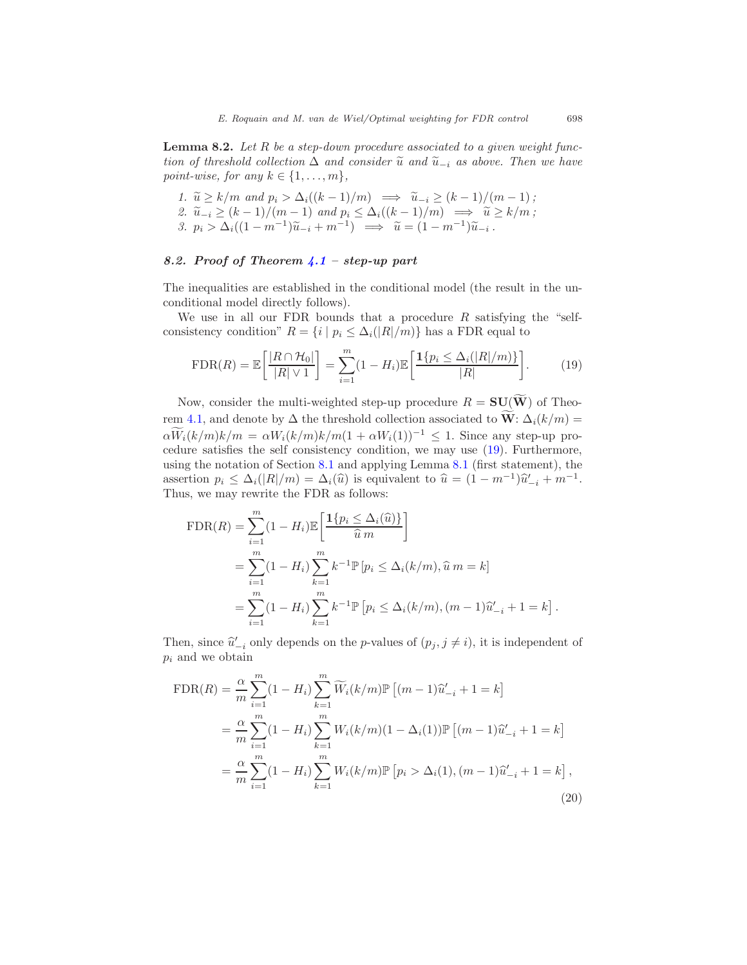**Lemma 8.2.** Let  $R$  be a step-down procedure associated to a given weight function of threshold collection  $\Delta$  and consider  $\tilde{u}$  and  $\tilde{u}_{-i}$  as above. Then we have point-wise, for any  $k \in \{1, \ldots, m\},\$ 

1. 
$$
\widetilde{u} \ge k/m
$$
 and  $p_i > \Delta_i((k-1)/m) \implies \widetilde{u}_{-i} \ge (k-1)/(m-1)$ ;  
\n2.  $\widetilde{u}_{-i} \ge (k-1)/(m-1)$  and  $p_i \le \Delta_i((k-1)/m) \implies \widetilde{u} \ge k/m$ ;  
\n3.  $p_i > \Delta_i((1-m^{-1})\widetilde{u}_{-i} + m^{-1}) \implies \widetilde{u} = (1-m^{-1})\widetilde{u}_{-i}$ .

#### <span id="page-21-0"></span>8.2. Proof of Theorem [4.1](#page-10-0) – step-up part

The inequalities are established in the conditional model (the result in the unconditional model directly follows).

We use in all our FDR bounds that a procedure  $R$  satisfying the "selfconsistency condition"  $R = \{i \mid p_i \leq \Delta_i(|R|/m)\}$  has a FDR equal to

$$
\text{FDR}(R) = \mathbb{E}\left[\frac{|R \cap \mathcal{H}_0|}{|R| \vee 1}\right] = \sum_{i=1}^m (1 - H_i) \mathbb{E}\left[\frac{\mathbf{1}\{p_i \le \Delta_i(|R|/m)\}}{|R|}\right].\tag{19}
$$

<span id="page-21-1"></span>Now, consider the multi-weighted step-up procedure  $R = SU(\widetilde{W})$  of Theo-rem [4.1,](#page-10-0) and denote by  $\Delta$  the threshold collection associated to  $\widetilde{W}$ :  $\Delta_i(k/m)$  =  $\alpha \widetilde{W}_i(k/m)k/m = \alpha W_i(k/m)k/m(1+\alpha W_i(1))^{-1} \leq 1$ . Since any step-up procedure satisfies the self consistency condition, we may use [\(19\)](#page-21-1). Furthermore, using the notation of Section [8.1](#page-20-1) and applying Lemma [8.1](#page-20-2) (first statement), the assertion  $p_i \leq \Delta_i(|R|/m) = \Delta_i(\widehat{u})$  is equivalent to  $\widehat{u} = (1 - m^{-1})\widehat{u}'_{-i} + m^{-1}$ . Thus, we may rewrite the FDR as follows:

$$
\begin{split} \text{FDR}(R) &= \sum_{i=1}^{m} (1 - H_i) \mathbb{E} \bigg[ \frac{\mathbf{1} \{ p_i \le \Delta_i(\hat{u}) \}}{\hat{u} \, m} \bigg] \\ &= \sum_{i=1}^{m} (1 - H_i) \sum_{k=1}^{m} k^{-1} \mathbb{P} \left[ p_i \le \Delta_i(k/m), \hat{u} \, m = k \right] \\ &= \sum_{i=1}^{m} (1 - H_i) \sum_{k=1}^{m} k^{-1} \mathbb{P} \left[ p_i \le \Delta_i(k/m), (m-1)\hat{u}'_{-i} + 1 = k \right]. \end{split}
$$

Then, since  $\hat{u}'_{-i}$  only depends on the *p*-values of  $(p_j, j \neq i)$ , it is independent of  $p_i$  and we obtain

<span id="page-21-2"></span>
$$
\text{FDR}(R) = \frac{\alpha}{m} \sum_{i=1}^{m} (1 - H_i) \sum_{k=1}^{m} \widetilde{W}_i(k/m) \mathbb{P} \left[ (m-1)\widehat{u}'_{-i} + 1 = k \right]
$$
  
= 
$$
\frac{\alpha}{m} \sum_{i=1}^{m} (1 - H_i) \sum_{k=1}^{m} W_i(k/m) (1 - \Delta_i(1)) \mathbb{P} \left[ (m-1)\widehat{u}'_{-i} + 1 = k \right]
$$
  
= 
$$
\frac{\alpha}{m} \sum_{i=1}^{m} (1 - H_i) \sum_{k=1}^{m} W_i(k/m) \mathbb{P} \left[ p_i > \Delta_i(1), (m-1)\widehat{u}'_{-i} + 1 = k \right],
$$
 (20)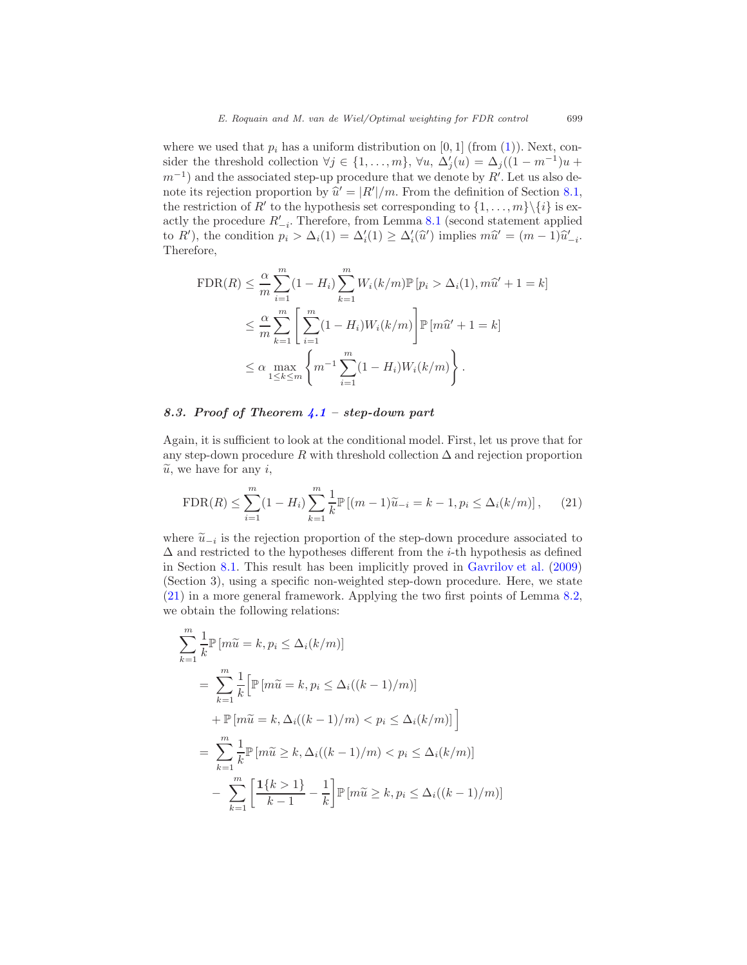where we used that  $p_i$  has a uniform distribution on [0, 1] (from [\(1\)](#page-3-0)). Next, consider the threshold collection  $\forall j \in \{1, ..., m\}$ ,  $\forall u, \Delta'_{j}(u) = \Delta_{j}((1 - m^{-1})u +$  $m^{-1}$ ) and the associated step-up procedure that we denote by R'. Let us also denote its rejection proportion by  $\hat{u}' = |R'|/m$ . From the definition of Section [8.1,](#page-20-1) the restriction of  $R'$  to the hypothesis set corresponding to  $\{1, \ldots, m\} \setminus \{i\}$  is exactly the procedure  $R'_{-i}$ . Therefore, from Lemma [8.1](#page-20-2) (second statement applied to R'), the condition  $p_i > \Delta_i(1) = \Delta'_i(1) \geq \Delta'_i(\hat{u}')$  implies  $m\hat{u}' = (m-1)\hat{u}'_{-i}$ . Therefore,

$$
\text{FDR}(R) \leq \frac{\alpha}{m} \sum_{i=1}^{m} (1 - H_i) \sum_{k=1}^{m} W_i(k/m) \mathbb{P}[p_i > \Delta_i(1), m\hat{u}' + 1 = k]
$$
  

$$
\leq \frac{\alpha}{m} \sum_{k=1}^{m} \left[ \sum_{i=1}^{m} (1 - H_i) W_i(k/m) \right] \mathbb{P}[m\hat{u}' + 1 = k]
$$
  

$$
\leq \alpha \max_{1 \leq k \leq m} \left\{ m^{-1} \sum_{i=1}^{m} (1 - H_i) W_i(k/m) \right\}.
$$

#### <span id="page-22-0"></span>8.3. Proof of Theorem  $\angle 1$  – step-down part

Again, it is sufficient to look at the conditional model. First, let us prove that for any step-down procedure R with threshold collection  $\Delta$  and rejection proportion  $\tilde{u}$ , we have for any *i*,

<span id="page-22-1"></span>
$$
\text{FDR}(R) \le \sum_{i=1}^{m} (1 - H_i) \sum_{k=1}^{m} \frac{1}{k} \mathbb{P} \left[ (m-1)\widetilde{u}_{-i} = k - 1, p_i \le \Delta_i(k/m) \right], \tag{21}
$$

where  $\tilde{u}_{-i}$  is the rejection proportion of the step-down procedure associated to  $\Lambda$  and proteintal to the humatheses different from the i.th humathesis as defined  $\Delta$  and restricted to the hypotheses different from the *i*-th hypothesis as defined in Section [8.1.](#page-20-1) This result has been implicitly proved in [Gavrilov et al.](#page-33-15) [\(2009\)](#page-33-15) (Section 3), using a specific non-weighted step-down procedure. Here, we state [\(21\)](#page-22-1) in a more general framework. Applying the two first points of Lemma [8.2,](#page-20-3) we obtain the following relations:

$$
\sum_{k=1}^{m} \frac{1}{k} \mathbb{P} \left[ m\tilde{u} = k, p_i \le \Delta_i(k/m) \right]
$$
  
= 
$$
\sum_{k=1}^{m} \frac{1}{k} \left[ \mathbb{P} \left[ m\tilde{u} = k, p_i \le \Delta_i((k-1)/m) \right] + \mathbb{P} \left[ m\tilde{u} = k, \Delta_i((k-1)/m) < p_i \le \Delta_i(k/m) \right] \right]
$$
  
= 
$$
\sum_{k=1}^{m} \frac{1}{k} \mathbb{P} \left[ m\tilde{u} \ge k, \Delta_i((k-1)/m) < p_i \le \Delta_i(k/m) \right]
$$
  
- 
$$
\sum_{k=1}^{m} \left[ \frac{1\{k>1\}}{k-1} - \frac{1}{k} \right] \mathbb{P} \left[ m\tilde{u} \ge k, p_i \le \Delta_i((k-1)/m) \right]
$$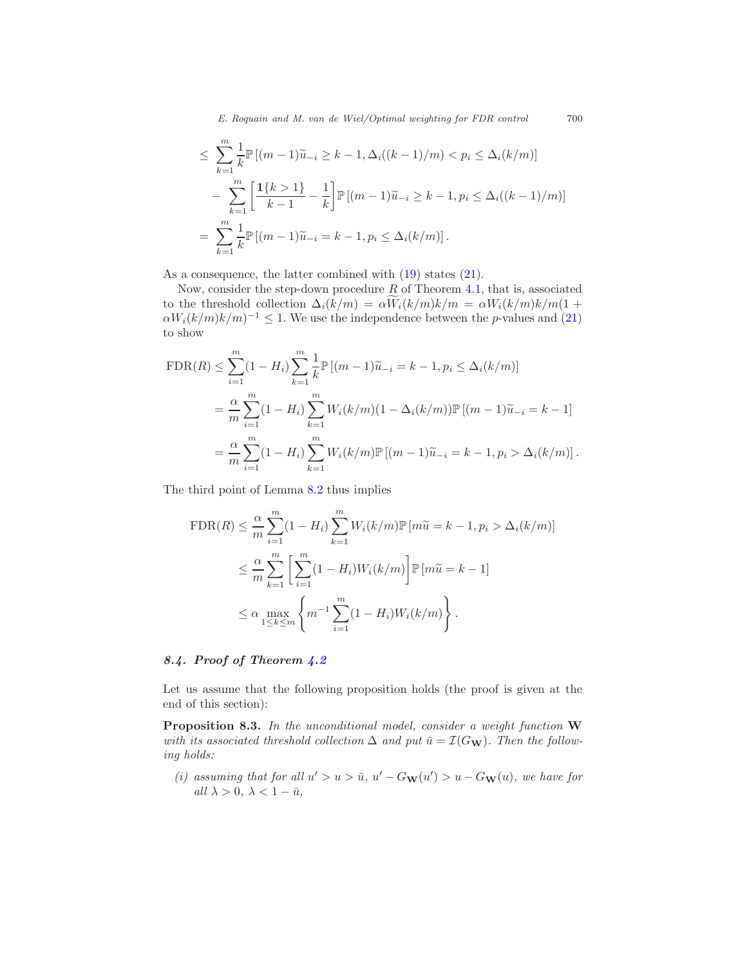E. Roquain and M. van de Wiel/Optimal weighting for FDR control 700

$$
\leq \sum_{k=1}^{m} \frac{1}{k} \mathbb{P} \left[ (m-1)\tilde{u}_{-i} \geq k-1, \Delta_i((k-1)/m) < p_i \leq \Delta_i(k/m) \right] \\
- \sum_{k=1}^{m} \left[ \frac{1\{k>1\}}{k-1} - \frac{1}{k} \right] \mathbb{P} \left[ (m-1)\tilde{u}_{-i} \geq k-1, p_i \leq \Delta_i((k-1)/m) \right] \\
= \sum_{k=1}^{m} \frac{1}{k} \mathbb{P} \left[ (m-1)\tilde{u}_{-i} = k-1, p_i \leq \Delta_i(k/m) \right].
$$

As a consequence, the latter combined with [\(19\)](#page-21-1) states [\(21\)](#page-22-1).

Now, consider the step-down procedure  $R$  of Theorem [4.1,](#page-10-0) that is, associated to the threshold collection  $\Delta_i(k/m) = \alpha W_i(k/m)k/m = \alpha W_i(k/m)k/m(1 +$  $\alpha W_i(k/m)k/m$ <sup>-1</sup>  $\leq$  1. We use the independence between the *p*-values and [\(21\)](#page-22-1) to show

$$
\text{FDR}(R) \leq \sum_{i=1}^{m} (1 - H_i) \sum_{k=1}^{m} \frac{1}{k} \mathbb{P} \left[ (m-1)\tilde{u}_{-i} = k-1, p_i \leq \Delta_i(k/m) \right]
$$
  
=  $\frac{\alpha}{m} \sum_{i=1}^{m} (1 - H_i) \sum_{k=1}^{m} W_i(k/m) (1 - \Delta_i(k/m)) \mathbb{P} \left[ (m-1)\tilde{u}_{-i} = k-1 \right]$   
=  $\frac{\alpha}{m} \sum_{i=1}^{m} (1 - H_i) \sum_{k=1}^{m} W_i(k/m) \mathbb{P} \left[ (m-1)\tilde{u}_{-i} = k-1, p_i > \Delta_i(k/m) \right].$ 

The third point of Lemma [8.2](#page-20-3) thus implies

$$
\text{FDR}(R) \leq \frac{\alpha}{m} \sum_{i=1}^{m} (1 - H_i) \sum_{k=1}^{m} W_i(k/m) \mathbb{P} [m\tilde{u} = k - 1, p_i > \Delta_i(k/m)]
$$
  

$$
\leq \frac{\alpha}{m} \sum_{k=1}^{m} \left[ \sum_{i=1}^{m} (1 - H_i) W_i(k/m) \right] \mathbb{P} [m\tilde{u} = k - 1]
$$
  

$$
\leq \alpha \max_{1 \leq k \leq m} \left\{ m^{-1} \sum_{i=1}^{m} (1 - H_i) W_i(k/m) \right\}.
$$

#### <span id="page-23-1"></span>8.4. Proof of Theorem [4.2](#page-11-2)

<span id="page-23-0"></span>Let us assume that the following proposition holds (the proof is given at the end of this section):

Proposition 8.3. In the unconditional model, consider a weight function W with its associated threshold collection  $\Delta$  and put  $\bar{u} = \mathcal{I}(G_{\mathbf{W}})$ . Then the following holds:

(i) assuming that for all  $u' > u > \bar{u}$ ,  $u' - G_{\bf W}(u') > u - G_{\bf W}(u)$ , we have for all  $\lambda > 0$ ,  $\lambda < 1 - \bar{u}$ ,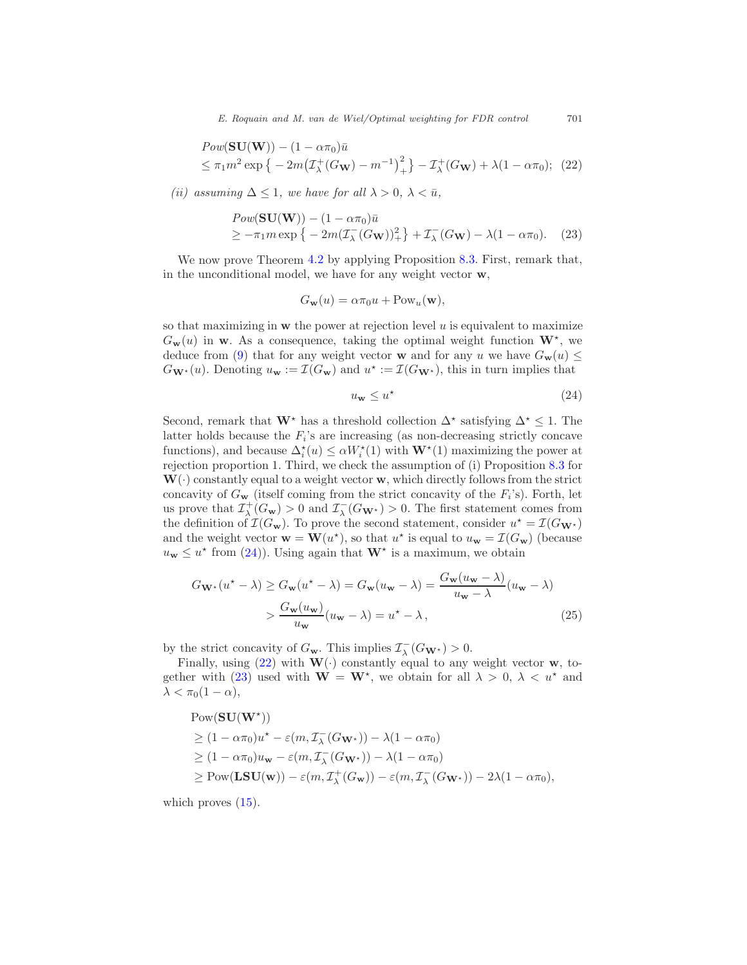E. Roquain and M. van de Wiel/Optimal weighting for FDR control 701

$$
Pow(\mathbf{SU}(\mathbf{W})) - (1 - \alpha \pi_0)\bar{u}
$$
  
\n
$$
\leq \pi_1 m^2 \exp \{-2m(\mathcal{I}_{\lambda}^+(G_{\mathbf{W}}) - m^{-1})_{+}^2\} - \mathcal{I}_{\lambda}^+(G_{\mathbf{W}}) + \lambda(1 - \alpha \pi_0); \quad (22)
$$

<span id="page-24-3"></span><span id="page-24-2"></span>(ii) assuming  $\Delta \leq 1$ , we have for all  $\lambda > 0$ ,  $\lambda < \bar{u}$ ,

$$
Pow(\mathbf{SU}(\mathbf{W})) - (1 - \alpha \pi_0)\bar{u}
$$
  
\n
$$
\geq -\pi_1 m \exp \{-2m(\mathcal{I}_\lambda^-(G_{\mathbf{W}}))^2 + \mathcal{I}_\lambda^-(G_{\mathbf{W}}) - \lambda(1 - \alpha \pi_0). \quad (23)
$$

We now prove Theorem [4.2](#page-11-2) by applying Proposition [8.3.](#page-23-0) First, remark that, in the unconditional model, we have for any weight vector w,

$$
G_{\mathbf{w}}(u) = \alpha \pi_0 u + \text{Pow}_u(\mathbf{w}),
$$

so that maximizing in  $w$  the power at rejection level  $u$  is equivalent to maximize  $G_{\bf w}(u)$  in **w**. As a consequence, taking the optimal weight function  ${\bf W}^*$ , we deduce from [\(9\)](#page-6-1) that for any weight vector **w** and for any u we have  $G_w(u) \leq$  $G_{\mathbf{W}^*}(u)$ . Denoting  $u_{\mathbf{w}} := \mathcal{I}(G_{\mathbf{w}})$  and  $u^* := \mathcal{I}(G_{\mathbf{W}^*})$ , this in turn implies that

<span id="page-24-1"></span><span id="page-24-0"></span>
$$
u_{\mathbf{w}} \le u^{\star} \tag{24}
$$

Second, remark that  $\mathbf{W}^*$  has a threshold collection  $\Delta^*$  satisfying  $\Delta^* \leq 1$ . The latter holds because the  $F_i$ 's are increasing (as non-decreasing strictly concave functions), and because  $\Delta_i^*(u) \le \alpha W_i^*(1)$  with  $\mathbf{W}^*(1)$  maximizing the power at rejection proportion 1. Third, we check the assumption of (i) Proposition [8.3](#page-23-0) for  $W(\cdot)$  constantly equal to a weight vector w, which directly follows from the strict concavity of  $G_{\bf w}$  (itself coming from the strict concavity of the  $F_i$ 's). Forth, let us prove that  $\mathcal{I}^+_\lambda(G_{\bf w}) > 0$  and  $\mathcal{I}^-_\lambda(G_{\bf w^*}) > 0$ . The first statement comes from the definition of  $\mathcal{I}(G_{\mathbf{w}})$ . To prove the second statement, consider  $u^* = \mathcal{I}(G_{\mathbf{W}^*})$ and the weight vector  $\mathbf{w} = \mathbf{W}(u^*)$ , so that  $u^*$  is equal to  $u_{\mathbf{w}} = \mathcal{I}(G_{\mathbf{w}})$  (because  $u_{\mathbf{w}} \leq u^*$  from [\(24\)](#page-24-1)). Using again that  $\mathbf{W}^*$  is a maximum, we obtain

$$
G_{\mathbf{W}^{\star}}(u^{\star} - \lambda) \ge G_{\mathbf{w}}(u^{\star} - \lambda) = G_{\mathbf{w}}(u_{\mathbf{w}} - \lambda) = \frac{G_{\mathbf{w}}(u_{\mathbf{w}} - \lambda)}{u_{\mathbf{w}} - \lambda}(u_{\mathbf{w}} - \lambda)
$$

$$
> \frac{G_{\mathbf{w}}(u_{\mathbf{w}})}{u_{\mathbf{w}}}(u_{\mathbf{w}} - \lambda) = u^{\star} - \lambda,
$$
(25)

by the strict concavity of  $G_{\mathbf{w}}$ . This implies  $\mathcal{I}^-_{\lambda}(G_{\mathbf{W}^{\star}}) > 0$ .

Finally, using [\(22\)](#page-24-2) with  $\mathbf{W}(\cdot)$  constantly equal to any weight vector **w**, to-gether with [\(23\)](#page-24-3) used with  $W = W^*$ , we obtain for all  $\lambda > 0$ ,  $\lambda < u^*$  and  $\lambda < \pi_0(1-\alpha),$ 

$$
\begin{aligned} &\text{Pow}(\mathbf{SU}(\mathbf{W}^{\star}))\\ &\geq (1-\alpha\pi_0)u^{\star}-\varepsilon(m,\mathcal{I}_{\lambda}^-(G_{\mathbf{W}^{\star}}))-\lambda(1-\alpha\pi_0)\\ &\geq (1-\alpha\pi_0)u_{\mathbf{w}}-\varepsilon(m,\mathcal{I}_{\lambda}^-(G_{\mathbf{W}^{\star}}))-\lambda(1-\alpha\pi_0)\\ &\geq \text{Pow}(\mathbf{LSU}(\mathbf{w}))-\varepsilon(m,\mathcal{I}_{\lambda}^+(G_{\mathbf{w}}))-\varepsilon(m,\mathcal{I}_{\lambda}^-(G_{\mathbf{W}^{\star}}))-2\lambda(1-\alpha\pi_0), \end{aligned}
$$

which proves  $(15)$ .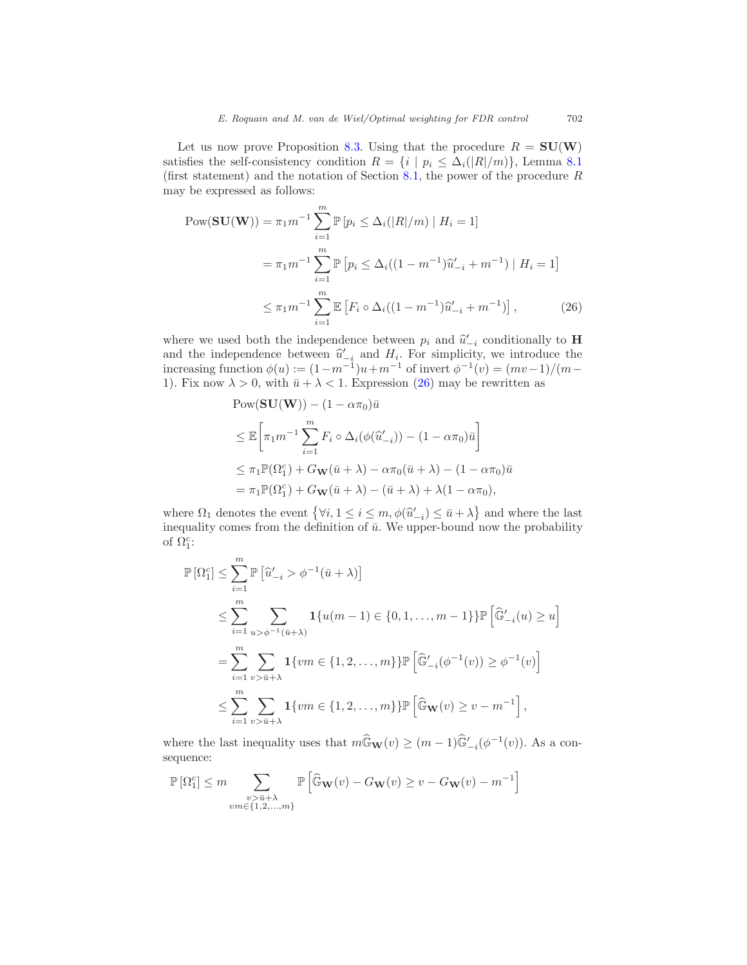Let us now prove Proposition [8.3.](#page-23-0) Using that the procedure  $R = SU(W)$ satisfies the self-consistency condition  $R = \{i \mid p_i \leq \Delta_i(|R|/m)\}\)$ . Lemma [8.1](#page-20-2) (first statement) and the notation of Section [8.1,](#page-20-1) the power of the procedure  $R$ may be expressed as follows:

$$
Pow(\mathbf{SU}(\mathbf{W})) = \pi_1 m^{-1} \sum_{i=1}^{m} \mathbb{P} \left[ p_i \le \Delta_i(|R|/m) \mid H_i = 1 \right]
$$
  
=  $\pi_1 m^{-1} \sum_{i=1}^{m} \mathbb{P} \left[ p_i \le \Delta_i((1 - m^{-1})\hat{u}'_{-i} + m^{-1}) \mid H_i = 1 \right]$   
 $\le \pi_1 m^{-1} \sum_{i=1}^{m} \mathbb{E} \left[ F_i \circ \Delta_i((1 - m^{-1})\hat{u}'_{-i} + m^{-1}) \right],$  (26)

where we used both the independence between  $p_i$  and  $\hat{u}'_{-i}$  conditionally to **H** and the independence between  $\hat{u}'_{-i}$  and  $H_i$ . For simplicity, we introduce the increasing function  $\phi(u) := (1 - m^{-1})u + m^{-1}$  of invert  $\phi^{-1}(v) = (mv-1)/(m-1)$ 1). Fix now  $\lambda > 0$ , with  $\bar{u} + \lambda < 1$ . Expression [\(26\)](#page-25-0) may be rewritten as

> <span id="page-25-0"></span> $Pow(SU(W)) - (1 - \alpha \pi_0)\bar{u}$  $\leq \mathbb{E}\bigg[ \pi_1 m^{-1}\sum^m$  $\sum_{i=1} F_i \circ \Delta_i(\phi(\widehat{u}'_{-i})) - (1 - \alpha \pi_0)\overline{u}$ 1  $\leq \pi_1 \mathbb{P}(\Omega_1^c) + G_{\mathbf{W}}(\bar{u} + \lambda) - \alpha \pi_0(\bar{u} + \lambda) - (1 - \alpha \pi_0)\bar{u}$

$$
= \pi_1 \mathbb{P}(\Omega_1^c) + G_{\mathbf{W}}(\bar{u} + \lambda) - (\bar{u} + \lambda) + \lambda (1 - \alpha \pi_0),
$$

where  $\Omega_1$  denotes the event  $\{\forall i, 1 \le i \le m, \phi(\hat{u}'_{-i}) \le \bar{u} + \lambda\}$  and where the last inequality comes from the definition of  $\bar{u}$ . We upper-bound now the probability of  $\Omega_1^c$ :

$$
\begin{split} \mathbb{P}\left[\Omega_{1}^{c}\right] &\leq \sum_{i=1}^{m} \mathbb{P}\left[\hat{u}'_{-i} > \phi^{-1}(\bar{u} + \lambda)\right] \\ &\leq \sum_{i=1}^{m} \sum_{u > \phi^{-1}(\bar{u} + \lambda)} \mathbf{1}\{u(m-1) \in \{0, 1, \dots, m-1\}\} \mathbb{P}\left[\widehat{\mathbb{G}}'_{-i}(u) \geq u\right] \\ &= \sum_{i=1}^{m} \sum_{v > \bar{u} + \lambda} \mathbf{1}\{vm \in \{1, 2, \dots, m\}\} \mathbb{P}\left[\widehat{\mathbb{G}}'_{-i}(\phi^{-1}(v)) \geq \phi^{-1}(v)\right] \\ &\leq \sum_{i=1}^{m} \sum_{v > \bar{u} + \lambda} \mathbf{1}\{vm \in \{1, 2, \dots, m\}\} \mathbb{P}\left[\widehat{\mathbb{G}}_{\mathbf{W}}(v) \geq v - m^{-1}\right], \end{split}
$$

where the last inequality uses that  $m\widehat{G}_{\mathbf{W}}(v) \geq (m-1)\widehat{G}'_{-i}(\phi^{-1}(v))$ . As a consequence:

$$
\mathbb{P}\left[\Omega_1^c\right] \leq m \sum_{\substack{v > \bar{u} + \lambda \\ vw \in \{1, 2, ..., m\}}} \mathbb{P}\left[\widehat{\mathbb{G}}_{\mathbf{W}}(v) - G_{\mathbf{W}}(v) \geq v - G_{\mathbf{W}}(v) - m^{-1}\right]
$$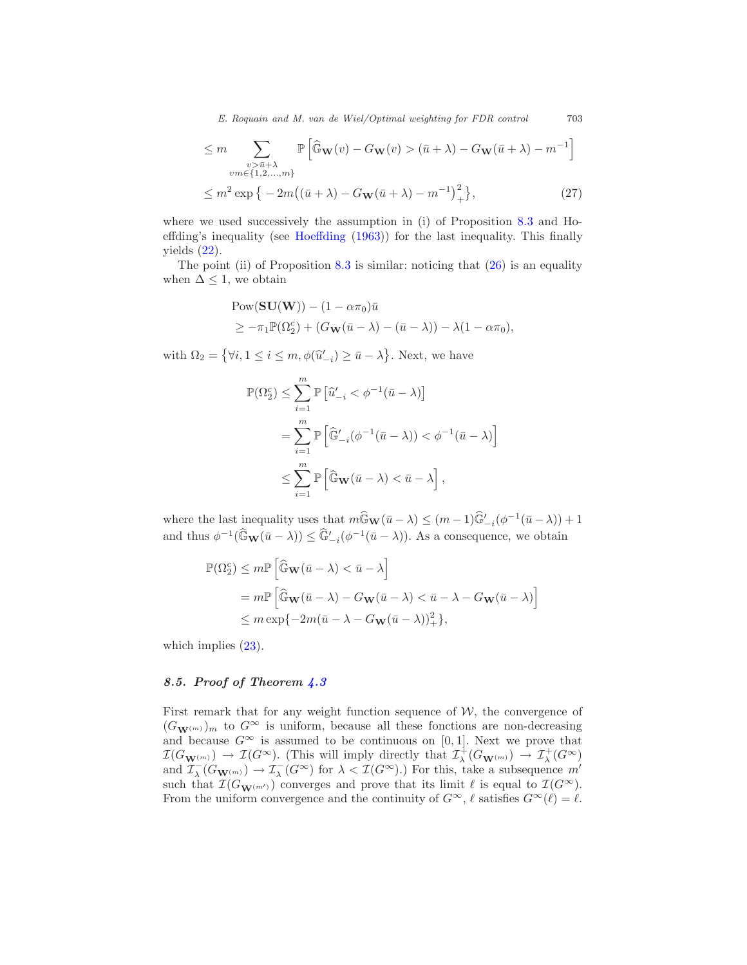E. Roquain and M. van de Wiel/Optimal weighting for FDR control 703

$$
\leq m \sum_{\substack{v > \bar{u} + \lambda \\ v m \in \{1, 2, \dots, m\}}} \mathbb{P}\left[\widehat{\mathbb{G}}_{\mathbf{W}}(v) - G_{\mathbf{W}}(v) > (\bar{u} + \lambda) - G_{\mathbf{W}}(\bar{u} + \lambda) - m^{-1}\right]
$$
  

$$
\leq m^2 \exp\left\{-2m\left((\bar{u} + \lambda) - G_{\mathbf{W}}(\bar{u} + \lambda) - m^{-1}\right)_+^2\right\},
$$
 (27)

where we used successively the assumption in (i) of Proposition [8.3](#page-23-0) and Hoeffding's inequality (see [Hoeffding](#page-33-6) [\(1963\)](#page-33-6)) for the last inequality. This finally yields  $(22)$ .

The point (ii) of Proposition  $8.3$  is similar: noticing that  $(26)$  is an equality when  $\Delta \leq 1$ , we obtain

$$
Pow(\mathbf{SU}(\mathbf{W})) - (1 - \alpha \pi_0)\bar{u}
$$
  
\n
$$
\geq -\pi_1 \mathbb{P}(\Omega_2^c) + (G_{\mathbf{W}}(\bar{u} - \lambda) - (\bar{u} - \lambda)) - \lambda(1 - \alpha \pi_0),
$$

with  $\Omega_2 = \{\forall i, 1 \le i \le m, \phi(\hat{u}'_{-i}) \ge \bar{u} - \lambda\}$ . Next, we have

$$
\begin{aligned} \mathbb{P}(\Omega_2^c) &\leq \sum_{i=1}^m \mathbb{P}\left[\hat{u}'_{-i} < \phi^{-1}(\bar{u}-\lambda)\right] \\ &= \sum_{i=1}^m \mathbb{P}\left[\widehat{\mathbb{G}}'_{-i}(\phi^{-1}(\bar{u}-\lambda)) < \phi^{-1}(\bar{u}-\lambda)\right] \\ &\leq \sum_{i=1}^m \mathbb{P}\left[\widehat{\mathbb{G}}\mathbf{w}(\bar{u}-\lambda) < \bar{u}-\lambda\right], \end{aligned}
$$

where the last inequality uses that  $m\widehat{\mathbb{G}}_{\mathbf{W}}(\bar{u}-\lambda) \leq (m-1)\widehat{\mathbb{G}}'_{-i}(\phi^{-1}(\bar{u}-\lambda))+1$ and thus  $\phi^{-1}(\widehat{\mathbb{G}}_{\mathbf{W}}(\bar{u}-\lambda)) \leq \widehat{\mathbb{G}}'_{-i}(\phi^{-1}(\bar{u}-\lambda)).$  As a consequence, we obtain

$$
\begin{aligned} \mathbb{P}(\Omega_2^c) &\leq m \mathbb{P}\left[\widehat{\mathbb{G}}_\mathbf{W}(\bar{u}-\lambda)<\bar{u}-\lambda\right] \\ &=m \mathbb{P}\left[\widehat{\mathbb{G}}_\mathbf{W}(\bar{u}-\lambda)-G_\mathbf{W}(\bar{u}-\lambda)<\bar{u}-\lambda-G_\mathbf{W}(\bar{u}-\lambda)\right] \\ &\leq m \exp\{-2m(\bar{u}-\lambda-G_\mathbf{W}(\bar{u}-\lambda))^2_{+}\}, \end{aligned}
$$

which implies  $(23)$ .

#### <span id="page-26-0"></span>8.5. Proof of Theorem [4.3](#page-12-0)

First remark that for any weight function sequence of  $W$ , the convergence of  $(G_{\mathbf{W}^{(m)}})$ <sub>m</sub> to  $G^{\infty}$  is uniform, because all these fonctions are non-decreasing and because  $G^{\infty}$  is assumed to be continuous on [0, 1]. Next we prove that  $\mathcal{I}(G_{\mathbf{W}^{(m)}}) \to \mathcal{I}(G^{\infty})$ . (This will imply directly that  $\mathcal{I}_{\lambda}^{+}(G_{\mathbf{W}^{(m)}}) \to \mathcal{I}_{\lambda}^{+}(G^{\infty})$ and  $\mathcal{I}_{\lambda}^-(G_{\mathbf{W}^{(m)}}) \to \mathcal{I}_{\lambda}^-(G^{\infty})$  for  $\lambda < \mathcal{I}(G^{\infty})$ .) For this, take a subsequence  $m'$ such that  $\mathcal{I}(G_{\mathbf{W}^{(m')}})$  converges and prove that its limit  $\ell$  is equal to  $\mathcal{I}(G^{\infty})$ . From the uniform convergence and the continuity of  $G^{\infty}$ ,  $\ell$  satisfies  $G^{\infty}(\ell) = \ell$ .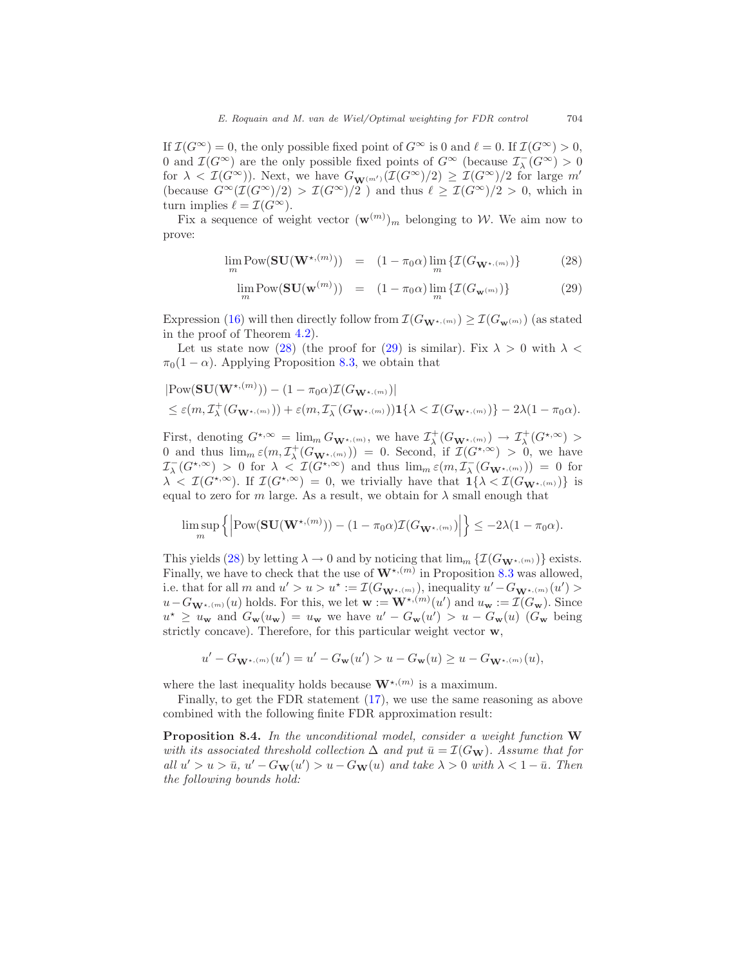If  $\mathcal{I}(G^{\infty}) = 0$ , the only possible fixed point of  $G^{\infty}$  is 0 and  $\ell = 0$ . If  $\mathcal{I}(G^{\infty}) > 0$ , 0 and  $\mathcal{I}(G^{\infty})$  are the only possible fixed points of  $G^{\infty}$  (because  $\mathcal{I}_{\lambda}^{-}(G^{\infty}) > 0$ for  $\lambda < \mathcal{I}(G^{\infty})$ ). Next, we have  $G_{\mathbf{W}^{(m')}}(\mathcal{I}(G^{\infty})/2) \geq \mathcal{I}(G^{\infty})/2$  for large m' (because  $G^{\infty}(\mathcal{I}(G^{\infty})/2) > \mathcal{I}(G^{\infty})/2$ ) and thus  $\ell \geq \mathcal{I}(G^{\infty})/2 > 0$ , which in turn implies  $\ell = \mathcal{I}(G^{\infty}).$ 

<span id="page-27-1"></span>Fix a sequence of weight vector  $(\mathbf{w}^{(m)})_m$  belonging to W. We aim now to prove:

$$
\lim_{m} \text{Pow}(\mathbf{SU}(\mathbf{W}^{\star,(m)})) = (1 - \pi_0 \alpha) \lim_{m} \{ \mathcal{I}(G_{\mathbf{W}^{\star,(m)}}) \}
$$
(28)

$$
\lim_{m} \text{Pow}(\mathbf{SU}(\mathbf{w}^{(m)})) = (1 - \pi_0 \alpha) \lim_{m} \{ \mathcal{I}(G_{\mathbf{w}^{(m)}}) \}
$$
(29)

Expression [\(16\)](#page-12-1) will then directly follow from  $\mathcal{I}(G_{\mathbf{W}^{\star,(m)}}) \geq \mathcal{I}(G_{\mathbf{w}^{(m)}})$  (as stated in the proof of Theorem [4.2\)](#page-11-2).

Let us state now [\(28\)](#page-27-1) (the proof for [\(29\)](#page-27-1) is similar). Fix  $\lambda > 0$  with  $\lambda <$  $\pi_0(1-\alpha)$ . Applying Proposition [8.3,](#page-23-0) we obtain that

$$
|\text{Pow}(\mathbf{SU}(\mathbf{W}^{\star,(m)})) - (1 - \pi_0 \alpha) \mathcal{I}(G_{\mathbf{W}^{\star,(m)}})|
$$
  
\$\leq \varepsilon(m, \mathcal{I}^+\_{\lambda}(G\_{\mathbf{W}^{\star,(m)}})) + \varepsilon(m, \mathcal{I}^-\_{\lambda}(G\_{\mathbf{W}^{\star,(m)}}))\mathbf{1}\{\lambda < \mathcal{I}(G\_{\mathbf{W}^{\star,(m)}})\} - 2\lambda(1 - \pi\_0 \alpha).

First, denoting  $G^{\star,\infty} = \lim_{m \to \infty} G_{\mathbf{W}^{\star,(m)}}$ , we have  $\mathcal{I}^+_\lambda(G_{\mathbf{W}^{\star,(m)}}) \to \mathcal{I}^+_\lambda(G^{\star,\infty}) >$ 0 and thus  $\lim_{m \in \mathbb{C}} \mathcal{L}^+_{\lambda}(G_{\mathbf{W}^{\star, (m)}}) = 0$ . Second, if  $\mathcal{I}(G^{\star, \infty}) > 0$ , we have  $\mathcal{I}_{\lambda}^{-}(G^{\star,\infty}) > 0$  for  $\lambda < \mathcal{I}(G^{\star,\infty})$  and thus  $\lim_{m \infty} \mathcal{E}(m, \mathcal{I}_{\lambda}^{-}(G_{\mathbf{W}^{\star,(m)}})) = 0$  for  $\lambda < \mathcal{I}(G^{*,\infty})$ . If  $\mathcal{I}(G^{*,\infty}) = 0$ , we trivially have that  $1\{\lambda < \mathcal{I}(G_{\mathbf{W}^{*,(m)}})\}\$ is equal to zero for m large. As a result, we obtain for  $\lambda$  small enough that

$$
\limsup_{m} \left\{ \left| \text{Pow}(\mathbf{SU}(\mathbf{W}^{\star,(m)})) - (1 - \pi_0 \alpha) \mathcal{I}(G_{\mathbf{W}^{\star,(m)}}) \right| \right\} \leq -2\lambda (1 - \pi_0 \alpha).
$$

This yields [\(28\)](#page-27-1) by letting  $\lambda \to 0$  and by noticing that  $\lim_{m} \{ \mathcal{I}(G_{\mathbf{W}^{\star,(m)}}) \}$  exists. Finally, we have to check that the use of  $\mathbf{W}^{\star,(m)}$  in Proposition [8.3](#page-23-0) was allowed, i.e. that for all m and  $u' > u > u^* := \mathcal{I}(G_{\mathbf{W}^{\star,(m)}})$ , inequality  $u' - G_{\mathbf{W}^{\star,(m)}}(u') >$  $u - G_{\mathbf{W}^{\star,(m)}}(u)$  holds. For this, we let  $\mathbf{w} := \mathbf{W}^{\star,(m)}(u')$  and  $u_{\mathbf{w}} := \mathcal{I}(G_{\mathbf{w}})$ . Since  $u^* \geq u_{\mathbf{w}}$  and  $G_{\mathbf{w}}(u_{\mathbf{w}}) = u_{\mathbf{w}}$  we have  $u' - G_{\mathbf{w}}(u') > u - G_{\mathbf{w}}(u)$  ( $G_{\mathbf{w}}$  being strictly concave). Therefore, for this particular weight vector w,

$$
u' - G_{\mathbf{W}^{\star, (m)}}(u') = u' - G_{\mathbf{w}}(u') > u - G_{\mathbf{w}}(u) \ge u - G_{\mathbf{W}^{\star, (m)}}(u),
$$

where the last inequality holds because  $\mathbf{W}^{\star,(m)}$  is a maximum.

<span id="page-27-0"></span>Finally, to get the FDR statement [\(17\)](#page-12-2), we use the same reasoning as above combined with the following finite FDR approximation result:

Proposition 8.4. In the unconditional model, consider a weight function W with its associated threshold collection  $\Delta$  and put  $\bar{u} = \mathcal{I}(G_{\bf W})$ . Assume that for all  $u' > u > \bar{u}$ ,  $u' - G_{\mathbf{W}}(u') > u - G_{\mathbf{W}}(u)$  and take  $\lambda > 0$  with  $\lambda < 1 - \bar{u}$ . Then the following bounds hold: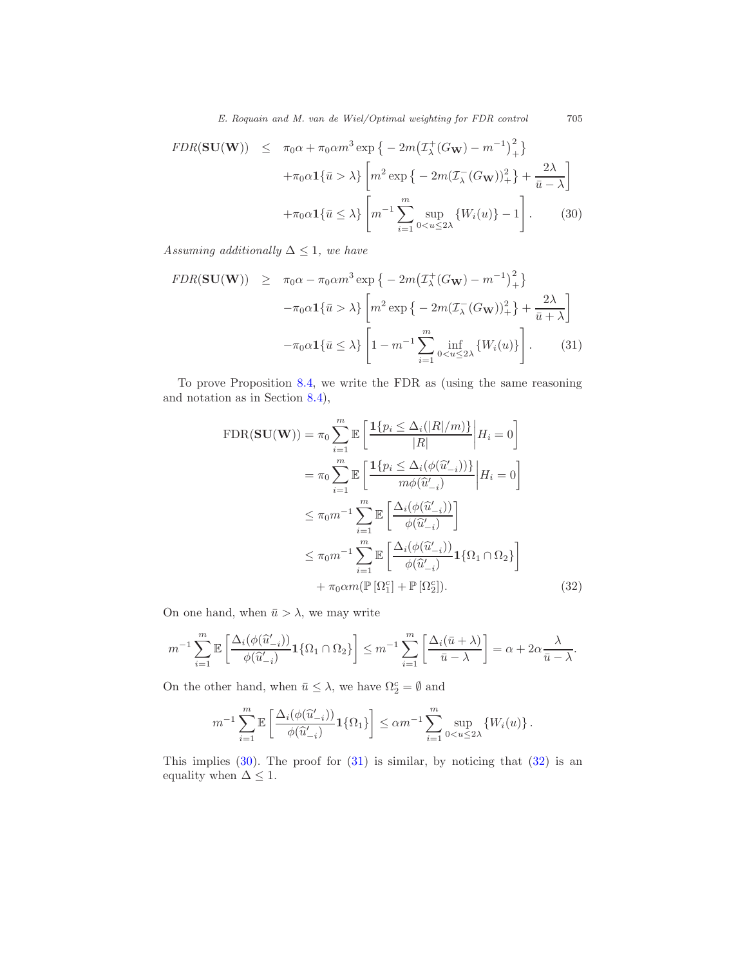<span id="page-28-0"></span>
$$
FDR(\mathbf{SU}(\mathbf{W})) \le \pi_0 \alpha + \pi_0 \alpha m^3 \exp \left\{ -2m \left( \mathcal{I}_{\lambda}^+(G_{\mathbf{W}}) - m^{-1} \right)_+^2 \right\}
$$

$$
+ \pi_0 \alpha \mathbf{1} \{ \bar{u} > \lambda \} \left[ m^2 \exp \left\{ -2m \left( \mathcal{I}_{\lambda}^-(G_{\mathbf{W}}) \right)_+^2 \right\} + \frac{2\lambda}{\bar{u} - \lambda} \right]
$$

$$
+ \pi_0 \alpha \mathbf{1} \{ \bar{u} \le \lambda \} \left[ m^{-1} \sum_{i=1}^m \sup_{0 < u \le 2\lambda} \{ W_i(u) \} - 1 \right]. \tag{30}
$$

<span id="page-28-1"></span>Assuming additionally  $\Delta \leq 1$ , we have

$$
FDR(\mathbf{SU}(\mathbf{W})) \geq \pi_0 \alpha - \pi_0 \alpha m^3 \exp \left\{ -2m \left( \mathcal{I}_{\lambda}^+(G_{\mathbf{W}}) - m^{-1} \right)_+^2 \right\}
$$

$$
-\pi_0 \alpha \mathbf{1} \{ \bar{u} > \lambda \} \left[ m^2 \exp \left\{ -2m \left( \mathcal{I}_{\lambda}^-(G_{\mathbf{W}}) \right)_+^2 \right\} + \frac{2\lambda}{\bar{u} + \lambda} \right]
$$

$$
-\pi_0 \alpha \mathbf{1} \{ \bar{u} \leq \lambda \} \left[ 1 - m^{-1} \sum_{i=1}^m \inf_{0 < u \leq 2\lambda} \{ W_i(u) \} \right]. \tag{31}
$$

To prove Proposition [8.4,](#page-27-0) we write the FDR as (using the same reasoning and notation as in Section [8.4\)](#page-23-1),

$$
\text{FDR}(\mathbf{SU}(\mathbf{W})) = \pi_0 \sum_{i=1}^m \mathbb{E} \left[ \frac{\mathbf{1}\{p_i \leq \Delta_i(|R|/m)\}}{|R|} \middle| H_i = 0 \right]
$$

$$
= \pi_0 \sum_{i=1}^m \mathbb{E} \left[ \frac{\mathbf{1}\{p_i \leq \Delta_i(\phi(\hat{u}'_{-i}))\}}{m\phi(\hat{u}'_{-i})} \middle| H_i = 0 \right]
$$

$$
\leq \pi_0 m^{-1} \sum_{i=1}^m \mathbb{E} \left[ \frac{\Delta_i(\phi(\hat{u}'_{-i}))}{\phi(\hat{u}'_{-i})} \right]
$$

$$
\leq \pi_0 m^{-1} \sum_{i=1}^m \mathbb{E} \left[ \frac{\Delta_i(\phi(\hat{u}'_{-i}))}{\phi(\hat{u}'_{-i})} \mathbf{1}\{\Omega_1 \cap \Omega_2\} \right]
$$

$$
+ \pi_0 \alpha m(\mathbb{P}[\Omega_1^c] + \mathbb{P}[\Omega_2^c]). \tag{32}
$$

On one hand, when  $\bar{u} > \lambda$ , we may write

$$
m^{-1} \sum_{i=1}^m \mathbb{E}\left[\frac{\Delta_i(\phi(\widehat{u}'_{-i}))}{\phi(\widehat{u}'_{-i})} \mathbf{1}\{\Omega_1 \cap \Omega_2\}\right] \leq m^{-1} \sum_{i=1}^m \left[\frac{\Delta_i(\bar{u}+\lambda)}{\bar{u}-\lambda}\right] = \alpha + 2\alpha \frac{\lambda}{\bar{u}-\lambda}.
$$

On the other hand, when  $\bar{u} \leq \lambda$ , we have  $\Omega_2^c = \emptyset$  and

<span id="page-28-2"></span>
$$
m^{-1} \sum_{i=1}^m \mathbb{E}\left[\frac{\Delta_i(\phi(\widehat{u}'_{-i}))}{\phi(\widehat{u}'_{-i})} \mathbf{1}\{\Omega_1\}\right] \le \alpha m^{-1} \sum_{i=1}^m \sup_{0 < u \le 2\lambda} \left\{W_i(u)\right\}.
$$

This implies  $(30)$ . The proof for  $(31)$  is similar, by noticing that  $(32)$  is an equality when  $\Delta \leq 1$ .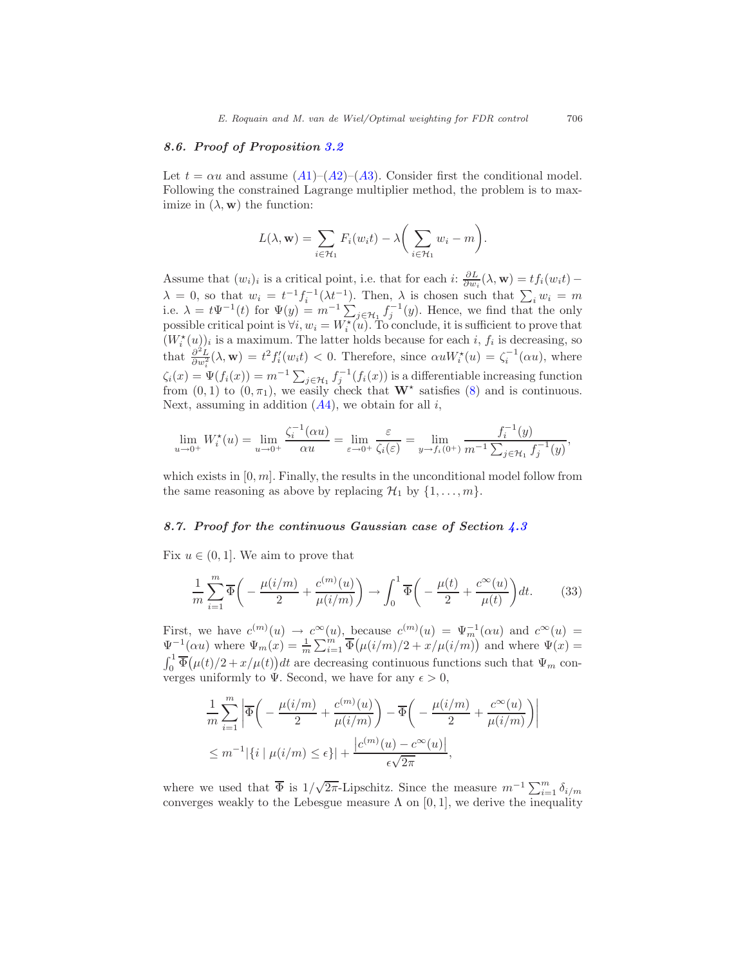#### <span id="page-29-0"></span>8.6. Proof of Proposition [3.2](#page-7-1)

Let  $t = \alpha u$  and assume  $(A1)$  $(A1)$  $(A1)$ – $(A2)$ – $(A3)$ . Consider first the conditional model. Following the constrained Lagrange multiplier method, the problem is to maximize in  $(\lambda, \mathbf{w})$  the function:

$$
L(\lambda, \mathbf{w}) = \sum_{i \in \mathcal{H}_1} F_i(w_i t) - \lambda \bigg( \sum_{i \in \mathcal{H}_1} w_i - m \bigg).
$$

Assume that  $(w_i)_i$  is a critical point, i.e. that for each  $i: \frac{\partial L}{\partial w_i}(\lambda, \mathbf{w}) = tf_i(w_i t)$  $\lambda = 0$ , so that  $w_i = t^{-1} f_i^{-1} (\lambda t^{-1})$ . Then,  $\lambda$  is chosen such that  $\sum_i w_i = m$ i.e.  $\lambda = t\Psi^{-1}(t)$  for  $\Psi(y) = m^{-1} \sum_{j \in \mathcal{H}_1} f_j^{-1}(y)$ . Hence, we find that the only possible critical point is  $\forall i, w_i = W_i^*(u)$ . To conclude, it is sufficient to prove that  $(W_i^{\star}(u))_i$  is a maximum. The latter holds because for each i,  $f_i$  is decreasing, so that  $\frac{\partial^2 L}{\partial w_i^2}(\lambda, \mathbf{w}) = t^2 f_i'(w_i t) < 0$ . Therefore, since  $\alpha u W_i^*(u) = \zeta_i^{-1}(\alpha u)$ , where  $\zeta_i(x) = \Psi(f_i(x)) = m^{-1} \sum_{j \in \mathcal{H}_1} f_j^{-1}(f_i(x))$  is a differentiable increasing function from  $(0, 1)$  to  $(0, \pi_1)$ , we easily check that  $\mathbf{W}^*$  satisfies  $(8)$  and is continuous. Next, assuming in addition  $(A4)$  $(A4)$  $(A4)$ , we obtain for all i,

$$
\lim_{u \to 0^+} W_i^{\star}(u) = \lim_{u \to 0^+} \frac{\zeta_i^{-1}(\alpha u)}{\alpha u} = \lim_{\varepsilon \to 0^+} \frac{\varepsilon}{\zeta_i(\varepsilon)} = \lim_{y \to f_i(0^+)} \frac{f_i^{-1}(y)}{m^{-1} \sum_{j \in \mathcal{H}_1} f_j^{-1}(y)},
$$

which exists in  $[0, m]$ . Finally, the results in the unconditional model follow from the same reasoning as above by replacing  $\mathcal{H}_1$  by  $\{1, \ldots, m\}.$ 

#### <span id="page-29-1"></span>8.7. Proof for the continuous Gaussian case of Section [4.3](#page-11-0)

Fix  $u \in (0, 1]$ . We aim to prove that

<span id="page-29-2"></span>
$$
\frac{1}{m}\sum_{i=1}^{m}\overline{\Phi}\bigg(-\frac{\mu(i/m)}{2}+\frac{c^{(m)}(u)}{\mu(i/m)}\bigg)\to \int_{0}^{1}\overline{\Phi}\bigg(-\frac{\mu(t)}{2}+\frac{c^{\infty}(u)}{\mu(t)}\bigg)dt.\tag{33}
$$

First, we have  $c^{(m)}(u) \to c^{\infty}(u)$ , because  $c^{(m)}(u) = \Psi_m^{-1}(\alpha u)$  and  $c^{\infty}(u) =$  $\Psi^{-1}(\alpha u)$  where  $\Psi_m(x) = \frac{1}{m} \sum_{i=1}^m \overline{\Phi}(\mu(i/m)/2 + x/\mu(i/m))$  and where  $\Psi(x) =$  $\int_0^1 \overline{\Phi}(\mu(t)/2 + x/\mu(t)) dt$  are decreasing continuous functions such that  $\Psi_m$  con- $U_0 \propto (\mu(\nu)/2 + \nu/\mu(\nu))$  are decreasing continuous run<br>verges uniformly to  $\Psi$ . Second, we have for any  $\epsilon > 0$ ,

$$
\frac{1}{m} \sum_{i=1}^{m} \left| \overline{\Phi} \left( -\frac{\mu(i/m)}{2} + \frac{c^{(m)}(u)}{\mu(i/m)} \right) - \overline{\Phi} \left( -\frac{\mu(i/m)}{2} + \frac{c^{\infty}(u)}{\mu(i/m)} \right) \right|
$$
  

$$
\leq m^{-1} |\{i \mid \mu(i/m) \leq \epsilon\}| + \frac{|c^{(m)}(u) - c^{\infty}(u)|}{\epsilon \sqrt{2\pi}},
$$

where we used that  $\overline{\Phi}$  is  $1/\sqrt{2\pi}$ -Lipschitz. Since the measure  $m^{-1}\sum_{i=1}^m \delta_{i/m}$ converges weakly to the Lebesgue measure  $\Lambda$  on [0, 1], we derive the inequality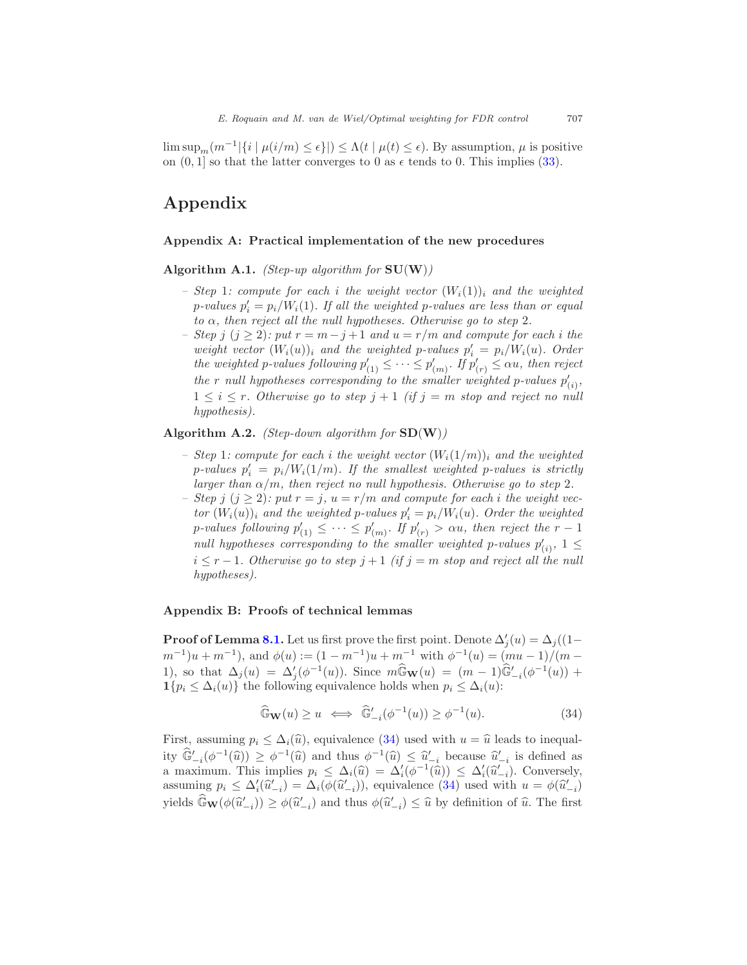$\limsup_m(m^{-1}|\{i \mid \mu(i/m) \leq \epsilon\}|) \leq \Lambda(t \mid \mu(t) \leq \epsilon)$ . By assumption,  $\mu$  is positive on  $(0, 1]$  so that the latter converges to 0 as  $\epsilon$  tends to 0. This implies [\(33\)](#page-29-2).

## Appendix

#### <span id="page-30-0"></span>Appendix A: Practical implementation of the new procedures

Algorithm A.1. *(Step-up algorithm for*  $SU(W)$ )

- Step 1: compute for each i the weight vector  $(W_i(1))_i$  and the weighted  $p$ -values  $p_i' = p_i/W_i(1)$ . If all the weighted p-values are less than or equal to  $\alpha$ , then reject all the null hypotheses. Otherwise go to step 2.
- Step j (j ≥ 2): put  $r = m j + 1$  and  $u = r/m$  and compute for each i the weight vector  $(W_i(u))_i$  and the weighted p-values  $p'_i = p_i/W_i(u)$ . Order the weighted p-values following  $p'_{(1)} \leq \cdots \leq p'_{(m)}$ . If  $p'_{(r)} \leq \alpha u$ , then reject the r null hypotheses corresponding to the smaller weighted p-values  $p'_{(i)}$ ,  $1 \leq i \leq r$ . Otherwise go to step  $j+1$  (if  $j = m$  stop and reject no null hypothesis).

#### Algorithm A.2. (Step-down algorithm for  $SD(W)$ )

- Step 1: compute for each i the weight vector  $(W_i(1/m))_i$  and the weighted  $p$ -values  $p_i' = p_i/W_i(1/m)$ . If the smallest weighted p-values is strictly larger than  $\alpha/m$ , then reject no null hypothesis. Otherwise go to step 2.
- Step j  $(j \geq 2)$ : put  $r = j$ ,  $u = r/m$  and compute for each i the weight vector  $(W_i(u))_i$  and the weighted p-values  $p'_i = p_i/W_i(u)$ . Order the weighted p-values following  $p'_{(1)} \leq \cdots \leq p'_{(m)}$ . If  $p'_{(r)} > \alpha u$ , then reject the  $r - 1$ null hypotheses corresponding to the smaller weighted p-values  $p'_{(i)}$ ,  $1 \leq$  $i \leq r-1$ . Otherwise go to step  $j+1$  (if  $j = m$  stop and reject all the null hypotheses).

#### <span id="page-30-1"></span>Appendix B: Proofs of technical lemmas

**Proof of Lemma [8.1.](#page-20-2)** Let us first prove the first point. Denote  $\Delta'_{j}(u) = \Delta_{j}((1 (m^{-1})u + m^{-1}$ , and  $\phi(u) := (1 - m^{-1})u + m^{-1}$  with  $\phi^{-1}(u) = (mu - 1)/(m - 1)$ 1), so that  $\Delta_j(u) = \Delta'_j(\phi^{-1}(u))$ . Since  $m\widehat{G}_{\mathbf{W}}(u) = (m-1)\widehat{G}'_{-i}(\phi^{-1}(u))$  +  $1\{p_i \leq \Delta_i(u)\}\)$  the following equivalence holds when  $p_i \leq \Delta_i(u)$ :

<span id="page-30-2"></span>
$$
\widehat{\mathbb{G}}_{\mathbf{W}}(u) \ge u \iff \widehat{\mathbb{G}}'_{-i}(\phi^{-1}(u)) \ge \phi^{-1}(u). \tag{34}
$$

First, assuming  $p_i \leq \Delta_i(\hat{u})$ , equivalence [\(34\)](#page-30-2) used with  $u = \hat{u}$  leads to inequality  $\widehat{\mathbb{G}}'_{-i}(\phi^{-1}(\widehat{u})) \geq \phi^{-1}(\widehat{u})$  and thus  $\phi^{-1}(\widehat{u}) \leq \widehat{u}'_{-i}$  because  $\widehat{u}'_{-i}$  is defined as a maximum. This implies  $p_i \leq \Delta_i(\hat{u}) = \Delta'_i(\phi^{-1}(\hat{u})) \leq \Delta'_i(\hat{u}'_{-i})$ . Conversely, assuming  $p_i \leq \Delta'_i(\hat{u}'_{-i}) = \Delta_i(\phi(\hat{u}'_{-i}))$ , equivalence [\(34\)](#page-30-2) used with  $u = \phi(\hat{u}'_{-i})$ yields  $\widehat{\mathbb{G}}_{\mathbf{W}}(\phi(\widehat{u}'_{-i})) \ge \phi(\widehat{u}'_{-i})$  and thus  $\phi(\widehat{u}'_{-i}) \le \widehat{u}$  by definition of  $\widehat{u}$ . The first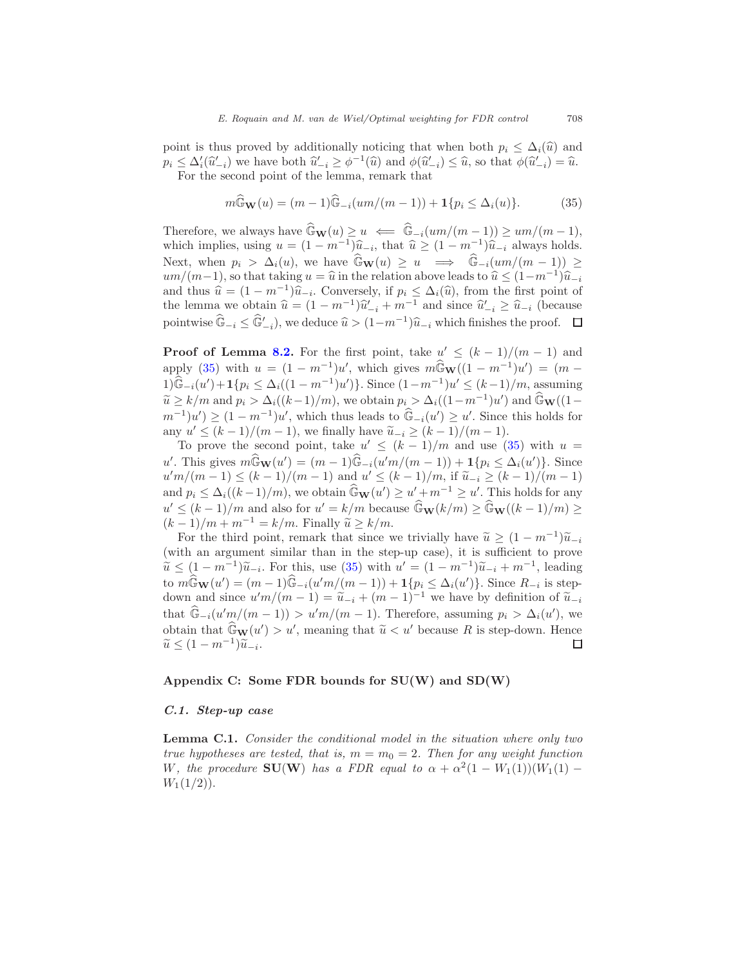point is thus proved by additionally noticing that when both  $p_i \leq \Delta_i(\hat{u})$  and  $p_i \leq \Delta'_i(\hat{u}'_{-i})$  we have both  $\hat{u}'_{-i} \geq \phi^{-1}(\hat{u})$  and  $\phi(\hat{u}'_{-i}) \leq \hat{u}$ , so that  $\phi(\hat{u}'_{-i}) = \hat{u}$ . For the second point of the lemma, remark that

<span id="page-31-1"></span>
$$
m\widehat{G}_{\mathbf{W}}(u) = (m-1)\widehat{G}_{-i}(um/(m-1)) + \mathbf{1}\{p_i \le \Delta_i(u)\}.
$$
 (35)

Therefore, we always have  $\widehat{\mathbb{G}}_{\mathbf{W}}(u) \geq u \iff \widehat{\mathbb{G}}_{-i}(um/(m-1)) \geq um/(m-1),$ which implies, using  $u = (1 - m^{-1})\hat{u}_{-i}$ , that  $\hat{u} \ge (1 - m^{-1})\hat{u}_{-i}$  always holds. Next, when  $p_i > \Delta_i(u)$ , we have  $\widehat{G}_{\mathbf{W}}(u) \geq u \implies \widehat{G}_{-i}(um/(m-1)) \geq$  $um/(m-1)$ , so that taking  $u = \hat{u}$  in the relation above leads to  $\hat{u} \leq (1-m^{-1})\hat{u}_{-i}$ and thus  $\hat{u} = (1 - m^{-1})\hat{u}_{-i}$ . Conversely, if  $p_i \leq \Delta_i(\hat{u})$ , from the first point of the lemma we obtain  $\hat{u} = (1 - m^{-1})\hat{u}'_{-i} + m^{-1}$  and since  $\hat{u}'_{-i} \ge \hat{u}_{-i}$  (because pointwise  $\widehat{\mathbb{G}}_{-i} \leq \widehat{\mathbb{G}}'_{-i}$ , we deduce  $\widehat{u} > (1-m^{-1})\widehat{u}_{-i}$  which finishes the proof.

**Proof of Lemma [8.2.](#page-20-3)** For the first point, take  $u' \leq (k-1)/(m-1)$  and apply [\(35\)](#page-31-1) with  $u = (1 - m^{-1})u'$ , which gives  $m\widehat{G}_\mathbf{W}((1 - m^{-1})u') = (m -$ 1) $\widehat{\mathbb{G}}_{-i}(u') + \mathbf{1}{p_i} \leq \Delta_i((1 - m^{-1})u')$ . Since  $(1 - m^{-1})u' \leq (k - 1)/m$ , assuming  $\widetilde{u} \ge k/m$  and  $p_i > \Delta_i((k-1)/m)$ , we obtain  $p_i > \Delta_i((1-m^{-1})u')$  and  $\widehat{G}_{\mathbf{W}}((1-n^{-1})u')$  $(m^{-1})u' \geq (1-m^{-1})u'$ , which thus leads to  $\widehat{\mathbb{G}}_{-i}(u') \geq u'$ . Since this holds for any  $u' \leq (k-1)/(m-1)$ , we finally have  $\widetilde{u}_{-i} \geq (k-1)/(m-1)$ .

To prove the second point, take  $u' \leq (k-1)/m$  and use [\(35\)](#page-31-1) with  $u =$ u'. This gives  $m\widehat{\mathbb{G}}_{\mathbf{W}}(u') = (m-1)\widehat{\mathbb{G}}_{-i}(u'm/(m-1)) + \mathbf{1}{p_i \leq \Delta_i(u')}$ . Since  $u'm/(m-1) \leq (k-1)/(m-1)$  and  $u' \leq (k-1)/m$ , if  $\tilde{u}_{-i} \geq (k-1)/(m-1)$ and  $p_i \leq \Delta_i((k-1)/m)$ , we obtain  $\widehat{\mathbb{G}}_{\mathbf{W}}(u') \geq u' + m^{-1} \geq u'$ . This holds for any  $u' \leq (k-1)/m$  and also for  $u' = k/m$  because  $\widehat{\mathbb{G}}_{\mathbf{W}}(k/m) \geq \widehat{\mathbb{G}}_{\mathbf{W}}((k-1)/m) \geq$  $(k-1)/m + m^{-1} = k/m$ . Finally  $\tilde{u} \ge k/m$ .

For the third point, remark that since we trivially have  $\widetilde{u} \geq (1 - m^{-1})\widetilde{u}_{-i}$ (with an argument similar than in the step-up case), it is sufficient to prove  $\widetilde{u} \leq (1 - m^{-1})\widetilde{u}_{-i}$ . For this, use [\(35\)](#page-31-1) with  $u' = (1 - m^{-1})\widetilde{u}_{-i} + m^{-1}$ , leading to  $m\widehat{G}_{\mathbf{W}}(u') = (m-1)\widehat{G}_{-i}(u'm/(m-1)) + 1\{p_i \leq \Delta_i(u')\}$ . Since  $R_{-i}$  is stepdown and since  $u'm/(m-1) = \tilde{u}_{-i} + (m-1)^{-1}$  we have by definition of  $\tilde{u}_{-i}$ that  $\widehat{\mathbb{G}}_{-i}(u' m/(m-1)) > u' m/(m-1)$ . Therefore, assuming  $p_i > \Delta_i(u')$ , we obtain that  $\widehat{\mathbb{G}}_{\mathbf{W}}(u') > u'$ , meaning that  $\widetilde{u} < u'$  because R is step-down. Hence  $\widetilde{u} \le (1 - m^{-1}) \widetilde{u}_{-i}.$  $\Box$ 

#### <span id="page-31-0"></span>Appendix C: Some FDR bounds for  $SU(W)$  and  $SD(W)$

#### C.1. Step-up case

Lemma C.1. Consider the conditional model in the situation where only two true hypotheses are tested, that is,  $m = m_0 = 2$ . Then for any weight function W, the procedure  $\text{SU}(W)$  has a FDR equal to  $\alpha + \alpha^2(1 - W_1(1))(W_1(1) W_1(1/2)$ .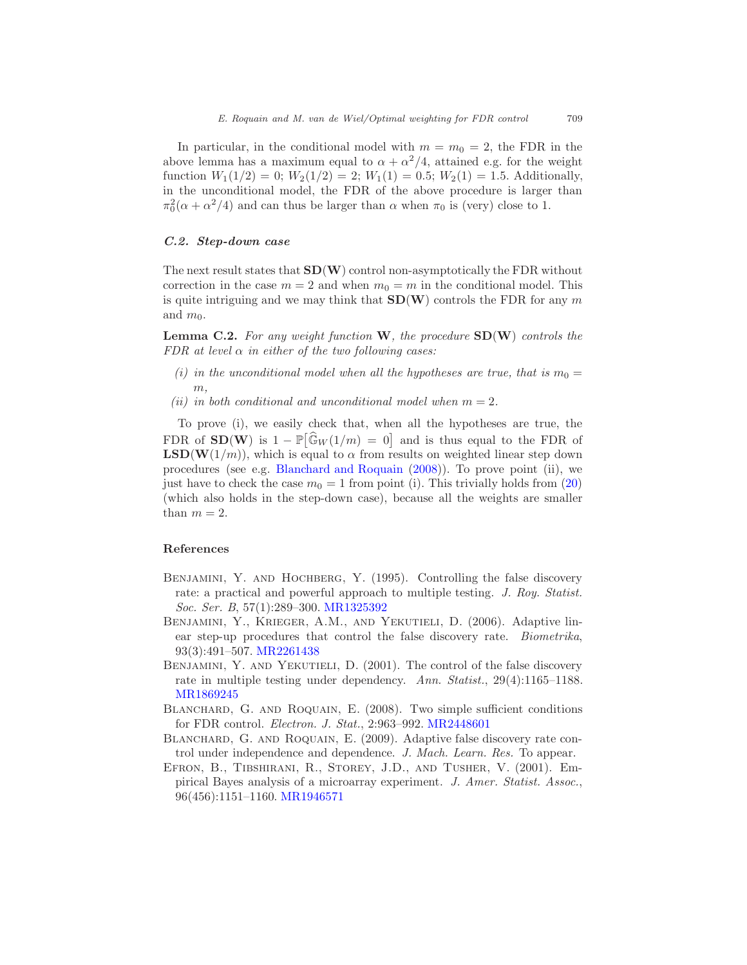In particular, in the conditional model with  $m = m_0 = 2$ , the FDR in the above lemma has a maximum equal to  $\alpha + \alpha^2/4$ , attained e.g. for the weight function  $W_1(1/2) = 0$ ;  $W_2(1/2) = 2$ ;  $W_1(1) = 0.5$ ;  $W_2(1) = 1.5$ . Additionally, in the unconditional model, the FDR of the above procedure is larger than  $\pi_0^2(\alpha + \alpha^2/4)$  and can thus be larger than  $\alpha$  when  $\pi_0$  is (very) close to 1.

#### C.2. Step-down case

The next result states that  $SD(W)$  control non-asymptotically the FDR without correction in the case  $m = 2$  and when  $m_0 = m$  in the conditional model. This is quite intriguing and we may think that  $SD(W)$  controls the FDR for any m and  $m_0$ .

**Lemma C.2.** For any weight function  $W$ , the procedure  $SD(W)$  controls the FDR at level  $\alpha$  in either of the two following cases:

- (i) in the unconditional model when all the hypotheses are true, that is  $m_0 =$  $m$ .
- (ii) in both conditional and unconditional model when  $m = 2$ .

To prove (i), we easily check that, when all the hypotheses are true, the FDR of  $SD(W)$  is  $1 - \mathbb{P}[\widehat{G}_W(1/m) = 0]$  and is thus equal to the FDR of  $\text{LSD}(W(1/m))$ , which is equal to  $\alpha$  from results on weighted linear step down procedures (see e.g. [Blanchard and Roquain](#page-32-2) [\(2008\)](#page-32-2)). To prove point (ii), we just have to check the case  $m_0 = 1$  from point (i). This trivially holds from [\(20\)](#page-21-2) (which also holds in the step-down case), because all the weights are smaller than  $m = 2$ .

#### References

- <span id="page-32-0"></span>BENJAMINI, Y. AND HOCHBERG, Y. (1995). Controlling the false discovery rate: a practical and powerful approach to multiple testing. J. Roy. Statist. Soc. Ser. B, 57(1):289–300. [MR1325392](http://www.ams.org/mathscinet-getitem?mr=1325392)
- <span id="page-32-4"></span>Benjamini, Y., Krieger, A.M., and Yekutieli, D. (2006). Adaptive linear step-up procedures that control the false discovery rate. Biometrika, 93(3):491–507. [MR2261438](http://www.ams.org/mathscinet-getitem?mr=2261438)
- <span id="page-32-1"></span>BENJAMINI, Y. AND YEKUTIELI, D. (2001). The control of the false discovery rate in multiple testing under dependency. Ann. Statist., 29(4):1165–1188. [MR1869245](http://www.ams.org/mathscinet-getitem?mr=1869245)
- <span id="page-32-2"></span>BLANCHARD, G. AND ROQUAIN, E. (2008). Two simple sufficient conditions for FDR control. Electron. J. Stat., 2:963–992. [MR2448601](http://www.ams.org/mathscinet-getitem?mr=2448601)
- <span id="page-32-5"></span>BLANCHARD, G. AND ROQUAIN, E. (2009). Adaptive false discovery rate control under independence and dependence. J. Mach. Learn. Res. To appear.
- <span id="page-32-3"></span>Efron, B., Tibshirani, R., Storey, J.D., and Tusher, V. (2001). Empirical Bayes analysis of a microarray experiment. J. Amer. Statist. Assoc., 96(456):1151–1160. [MR1946571](http://www.ams.org/mathscinet-getitem?mr=1946571)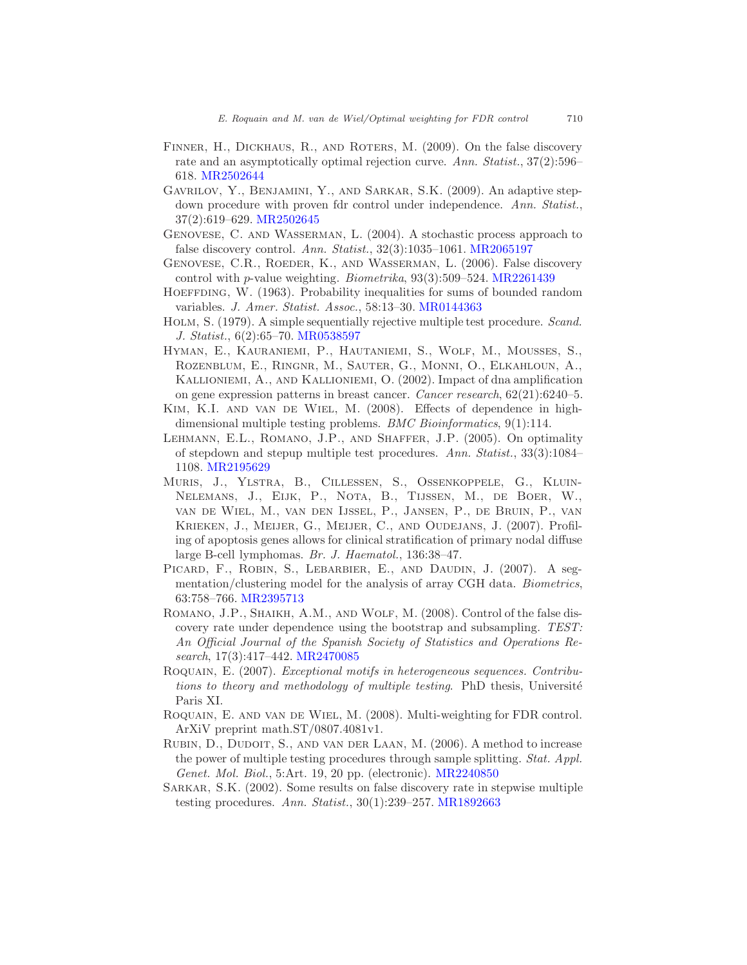- <span id="page-33-3"></span>FINNER, H., DICKHAUS, R., AND ROTERS, M. (2009). On the false discovery rate and an asymptotically optimal rejection curve. Ann. Statist., 37(2):596– 618. [MR2502644](http://www.ams.org/mathscinet-getitem?mr=2502644)
- <span id="page-33-15"></span>Gavrilov, Y., Benjamini, Y., and Sarkar, S.K. (2009). An adaptive stepdown procedure with proven fdr control under independence. Ann. Statist., 37(2):619–629. [MR2502645](http://www.ams.org/mathscinet-getitem?mr=2502645)
- <span id="page-33-7"></span>Genovese, C. and Wasserman, L. (2004). A stochastic process approach to false discovery control. Ann. Statist., 32(3):1035-1061. [MR2065197](http://www.ams.org/mathscinet-getitem?mr=2065197)
- <span id="page-33-5"></span>GENOVESE, C.R., ROEDER, K., AND WASSERMAN, L. (2006). False discovery control with p-value weighting. Biometrika, 93(3):509–524. [MR2261439](http://www.ams.org/mathscinet-getitem?mr=2261439)
- <span id="page-33-6"></span>HOEFFDING, W. (1963). Probability inequalities for sums of bounded random variables. J. Amer. Statist. Assoc., 58:13–30. [MR0144363](http://www.ams.org/mathscinet-getitem?mr=0144363)
- <span id="page-33-4"></span>Holm, S. (1979). A simple sequentially rejective multiple test procedure. Scand. J. Statist., 6(2):65–70. [MR0538597](http://www.ams.org/mathscinet-getitem?mr=0538597)
- <span id="page-33-10"></span>Hyman, E., Kauraniemi, P., Hautaniemi, S., Wolf, M., Mousses, S., Rozenblum, E., Ringnr, M., Sauter, G., Monni, O., Elkahloun, A., Kallioniemi, A., and Kallioniemi, O. (2002). Impact of dna amplification on gene expression patterns in breast cancer. Cancer research, 62(21):6240–5.
- <span id="page-33-12"></span>Kim, K.I. and van de Wiel, M. (2008). Effects of dependence in highdimensional multiple testing problems. *BMC Bioinformatics*, 9(1):114.
- <span id="page-33-1"></span>Lehmann, E.L., Romano, J.P., and Shaffer, J.P. (2005). On optimality of stepdown and stepup multiple test procedures. Ann. Statist., 33(3):1084– 1108. [MR2195629](http://www.ams.org/mathscinet-getitem?mr=2195629)
- <span id="page-33-11"></span>Muris, J., Ylstra, B., Cillessen, S., Ossenkoppele, G., Kluin-Nelemans, J., Eijk, P., Nota, B., Tijssen, M., de Boer, W., van de Wiel, M., van den Ijssel, P., Jansen, P., de Bruin, P., van Krieken, J., Meijer, G., Meijer, C., and Oudejans, J. (2007). Profiling of apoptosis genes allows for clinical stratification of primary nodal diffuse large B-cell lymphomas. Br. J. Haematol., 136:38–47.
- <span id="page-33-9"></span>PICARD, F., ROBIN, S., LEBARBIER, E., AND DAUDIN, J. (2007). A segmentation/clustering model for the analysis of array CGH data. Biometrics, 63:758–766. [MR2395713](http://www.ams.org/mathscinet-getitem?mr=2395713)
- <span id="page-33-13"></span>ROMANO, J.P., SHAIKH, A.M., AND WOLF, M. (2008). Control of the false discovery rate under dependence using the bootstrap and subsampling. TEST: An Official Journal of the Spanish Society of Statistics and Operations Research, 17(3):417–442. [MR2470085](http://www.ams.org/mathscinet-getitem?mr=2470085)
- <span id="page-33-14"></span>Roquain, E. (2007). Exceptional motifs in heterogeneous sequences. Contributions to theory and methodology of multiple testing. PhD thesis, Université Paris XI.
- <span id="page-33-8"></span>Roquain, E. and van de Wiel, M. (2008). Multi-weighting for FDR control. ArXiV preprint math.ST/0807.4081v1.
- <span id="page-33-2"></span>Rubin, D., Dudoit, S., and van der Laan, M. (2006). A method to increase the power of multiple testing procedures through sample splitting. Stat. Appl. Genet. Mol. Biol., 5:Art. 19, 20 pp. (electronic). [MR2240850](http://www.ams.org/mathscinet-getitem?mr=2240850)
- <span id="page-33-0"></span>Sarkar, S.K. (2002). Some results on false discovery rate in stepwise multiple testing procedures. Ann. Statist., 30(1):239–257. [MR1892663](http://www.ams.org/mathscinet-getitem?mr=1892663)